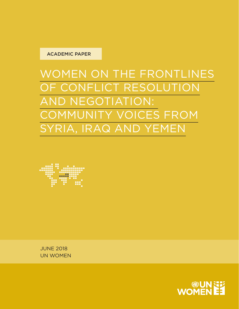#### ACADEMIC PAPER

WOMEN ON THE FRONTLINES OF CONFLICT RESOLUTION AND NEGOTIATION: COMMUNITY VOICES FROM SYRIA, IRAQ AND YEMEN



JUNE 2018 UN WOMEN

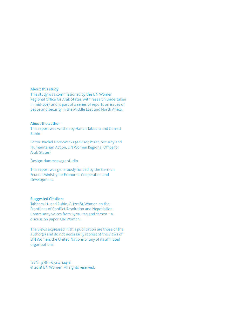#### **About this study**

This study was commissioned by the UN Women Regional Office for Arab States, with research undertaken in mid-2017, and is part of a series of reports on issues of peace and security in the Middle East and North Africa.

#### **About the author**

This report was written by Hanan Tabbara and Garrett Rubin

Editor: Rachel Dore-Weeks (Advisor, Peace, Security and Humanitarian Action, UN Women Regional Office for Arab States)

Design: dammsavage studio

This report was generously funded by the German Federal Ministry for Economic Cooperation and Development.

#### **Suggested Citation:**

Tabbara, H., and Rubin, G, (2018), Women on the Frontlines of Conflict Resolution and Negotiation: Community Voices from Syria, Iraq and Yemen – a discussion paper; UN Women.

The views expressed in this publication are those of the author(s) and do not necessarily represent the views of UN Women, the United Nations or any of its affiliated organizations.

ISBN: 978-1-63214-124-8 © 2018 UN Women. All rights reserved.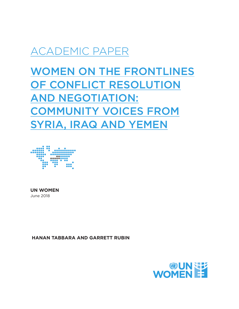## ACADEMIC PAPER

WOMEN ON THE FRONTLINES OF CONFLICT RESOLUTION AND NEGOTIATION: COMMUNITY VOICES FROM SYRIA, IRAQ AND YEMEN



**UN WOMEN**  June 2018

 **HANAN TABBARA AND GARRETT RUBIN**

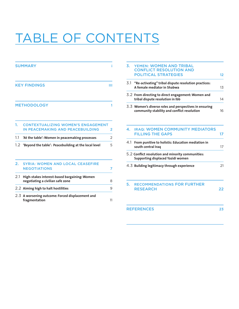# TABLE OF CONTENTS

|     | <b>SUMMARY</b>                                                                   |    |  |  |
|-----|----------------------------------------------------------------------------------|----|--|--|
|     | <b>KEY FINDINGS</b>                                                              | ш  |  |  |
|     | <b>METHODOLOGY</b>                                                               | 1  |  |  |
| 1.  | <b>CONTEXTUALIZING WOMEN'S ENGAGEMENT</b><br>IN PEACEMAKING AND PEACEBUILDING    | 2  |  |  |
| 1.1 | 'At the table': Women in peacemaking processes                                   | 2  |  |  |
| 1.2 | 'Beyond the table': Peacebuilding at the local level                             | 5  |  |  |
| 2.  | <b>SYRIA: WOMEN AND LOCAL CEASEFIRE</b><br><b>NEGOTIATIONS</b>                   | 7  |  |  |
| 2.1 | High-stakes interest-based bargaining: Women<br>negotiating a civilian safe zone | 8  |  |  |
|     | 2.2 Aiming high to halt hostilities                                              | 9  |  |  |
|     | 2.3 A worsening outcome: Forced displacement and<br>fragmentation                | 11 |  |  |

|     | 3. YEMEN: WOMEN AND TRIBAL<br><b>CONFLICT RESOLUTION AND</b><br><b>POLITICAL STRATEGIES</b>           | 12             |
|-----|-------------------------------------------------------------------------------------------------------|----------------|
|     | 3.1 "Re-activating" tribal dispute resolution practices:<br>A female mediator in Shabwa               | 1 <sub>3</sub> |
|     | 3.2 From directing to direct engagement: Women and<br>tribal dispute resolution in Ibb                | 14             |
|     | 3.3 Women's diverse roles and perspectives in ensuring<br>community stability and conflict resolution | 16             |
|     | 4. IRAQ: WOMEN COMMUNITY MEDIATORS<br><b>FILLING THE GAPS</b>                                         | 17             |
| 4.1 | From punitive to holistic: Education mediation in<br>south central Iraq                               | 17             |
|     |                                                                                                       |                |

| 5.2 Conflict resolution and minority communities:<br>Supporting displaced Yazidi women |    |
|----------------------------------------------------------------------------------------|----|
| 4.3 Building legitimacy through experience                                             | 21 |

| <b>5. RECOMMENDATIONS FOR FURTHER</b> |  |
|---------------------------------------|--|
| <b>RESEARCH</b>                       |  |

REFERENCES 23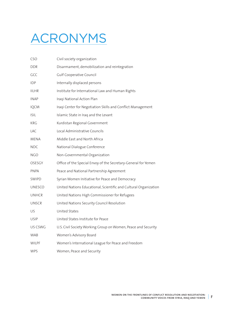# ACRONYMS

| CSO           | Civil society organization                                       |
|---------------|------------------------------------------------------------------|
| DDR           | Disarmament, demobilization and reintegration                    |
| GCC           | Gulf Cooperative Council                                         |
| IDP           | Internally displaced persons                                     |
| IILHR         | Institute for International Law and Human Rights                 |
| INAP          | Iraqi National Action Plan                                       |
| <b>IQCM</b>   | Iraqi Center for Negotiation Skills and Conflict Management      |
| <b>ISIL</b>   | Islamic State in Iraq and the Levant                             |
| KRG           | Kurdistan Regional Government                                    |
| LAC           | Local Administrative Councils                                    |
| MENA          | Middle East and North Africa                                     |
| NDC           | National Dialogue Conference                                     |
| NGO           | Non-Governmental Organization                                    |
| OSESGY        | Office of the Special Envoy of the Secretary-General for Yemen   |
| PNPA          | Peace and National Partnership Agreement                         |
| <b>SWIPD</b>  | Syrian Women Initiative for Peace and Democracy                  |
| <b>UNESCO</b> | United Nations Educational, Scientific and Cultural Organization |
| <b>UNHCR</b>  | United Nations High Commissioner for Refugees                    |
| UNSCR         | United Nations Security Council Resolution                       |
| US            | United States                                                    |
| USIP          | United States Institute for Peace                                |
| US CSWG       | U.S. Civil Society Working Group on Women, Peace and Security    |
| <b>WAB</b>    | Women's Advisory Board                                           |
| WILPF         | Women's International League for Peace and Freedom               |
| <b>WPS</b>    | Women, Peace and Security                                        |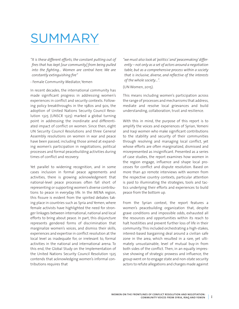# SUMMARY

*"It is these different efforts, the constant putting out of fires that has kept [our community] from being pulled into the fighting… Women are central here. We are constantly extinguishing fire"*

#### - Female Community Mediator, Yemen

In recent decades, the international community has made significant progress in addressing women's experiences in conflict and security contexts. Following policy breakthroughs in the 1980s and 90s, the adoption of United Nations Security Council Resolution 1325 (UNSCR 1325) marked a global turning point in addressing the inordinate and differentiated impact of conflict on women. Since then, eight UN Security Council Resolutions and three General Assembly resolutions on women in war and peace have been passed, including those aimed at expanding women's participation in negotiations, political processes and formal peacebuilding activities during times of conflict and recovery.

Yet parallel to widening recognition, and in some cases inclusion in formal peace agreements and activities, there is growing acknowledgment that national-level peace processes often fall short of representing or supporting women's diverse contributions to peace in everyday life. In the MENA region, this fissure is evident from the spirited debates taking place in countries such as Syria and Yemen, where female activists have highlighted the need for stronger linkages between international, national and local efforts to bring about peace. In part, this disjuncture represents gendered forms of discrimination that marginalize women's voices, and dismiss their skills, experiences and expertise in conflict resolution at the local level as inadequate for, or irrelevant to, formal activities in the national and international arena. To this end, the Global Study on the Implementation of the United Nations Security Council Resolution 1325 contends that acknowledging women's informal contributions requires that

*"we must also look at'politics'and'peacemaking'differently – not only as a set of actors around a negotiation table, but as a comprehensive process within a society that is inclusive, diverse, and reflective of the interests of the whole society…".*

#### (UN Women, 2015).

This means including women's participation across the range of processes and mechanisms that address, mediate and resolve local grievances and build understanding, collaboration, trust and resilience.

With this in mind, the purpose of this report is to amplify the voices and experiences of Syrian, Yemeni and Iraqi women who make significant contributions to the stability and security of their communities through resolving and managing local conflict, yet whose efforts are often marginalized, dismissed and misrepresented as insignificant. Presented as a series of case studies, the report examines how women in the region engage, influence and shape local processes for conflict and dispute resolution. Based on more than 40 remote interviews with women from the respective country contexts, particular attention is paid to illuminating the strategies, tools and tactics underlying their efforts and experiences to build peace from the bottom up.

From the Syrian context, the report features a women's peacebuilding organization that, despite grave conditions and impossible odds, exhausted all the resources and opportunities within its reach to halt hostilities and prevent further loss of life in their community. This included orchestrating a high-stakes, interest-based bargaining deal around a civilian safe zone in the area, which resulted in a rare, yet ultimately unsustainable, level of mutual buy-in from both sides of the conflict. Then, in an equally impressive showing of strategic prowess and influence, the group went on to engage state and non-state security actors to refute allegations and charges made against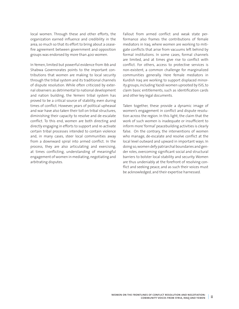local women. Through these and other efforts, the organization earned influence and credibility in the area, so much so that its effort to bring about a ceasefire agreement between government and opposition groups was endorsed by more than 400 women.

In Yemen, limited but powerful evidence from Ibb and Shabwa Governorates points to the important contributions that women are making to local security through the tribal system and its traditional channels of dispute resolution. While often criticized by external observers as detrimental to national development and nation building, the Yemeni tribal system has proved to be a critical source of stability, even during times of conflict. However, years of political upheaval and war have also taken their toll on tribal structures, diminishing their capacity to resolve and de-escalate conflict. To this end, women are both directing and directly engaging in efforts to support and re-activate certain tribal processes intended to contain violence and, in many cases, steer local communities away from a downward spiral into armed conflict. In the process, they are also articulating and exercising, at times conflicting, understanding of meaningful engagement of women in mediating, negotiating and arbitrating disputes.

Fallout from armed conflict and weak state performance also frames the contributions of female mediators in Iraq, where women are working to mitigate conflicts that arise from vacuums left behind by formal institutions. In some cases, formal channels are limited, and at times give rise to conflict with conflict. For others, access to protective services is non-existent, a common challenge for marginalized communities generally. Here female mediators in Kurdish Iraq are working to support displaced minority groups, including Yazidi women uprooted by ISIS, to claim basic entitlements, such as identification cards and other key legal documents.

Taken together, these provide a dynamic image of women's engagement in conflict and dispute resolution across the region. In this light, the claim that the work of such women is inadequate or insufficient to inform more 'formal' peacebuilding activities is clearly false. On the contrary, the interventions of women who manage, de-escalate and resolve conflict at the local level outward and upward in important ways. In doing so, women defy patriarchal boundaries and gender roles, overcoming significant social and structural barriers to bolster local stability and security. Women are thus undeniably at the forefront of resolving conflict and seeking peace, and as such their voices must be acknowledged, and their expertise harnessed.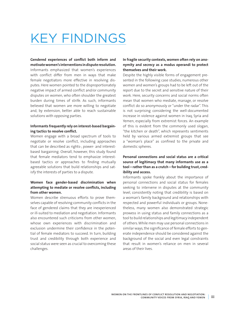# KEY FINDINGS

**Gendered experiences of conflict both inform and motivate women's interventions in dispute resolution.**  Informants emphasized that women's experiences with conflict differ from men in ways that make female negotiators more effective in resolving disputes. Here women pointed to the disproportionately negative impact of armed conflict and/or community disputes on women, who often shoulder the greatest burden during times of strife. As such, informants believed that women are more willing to negotiate and, by extension, better able to reach sustainable solutions with opposing parties.

#### **Informants frequently rely on interest-based bargaining tactics to resolve conflict.**

Women engage with a broad spectrum of tools to negotiate or resolve conflict, including approaches that can be described as rights-, power- and interestbased bargaining. Overall, however, this study found that female mediators tend to emphasize interestbased tactics or approaches to finding mutually agreeable solutions that build relationships and satisfy the interests of parties to a dispute.

#### **Women face gender-based discrimination when attempting to mediate or resolve conflicts, including from other women.**

Women describe strenuous efforts to prove themselves capable of resolving community conflicts in the face of gendered claims that they are inexperienced or ill-suited to mediation and negotiation. Informants also encountered such criticisms from other women, whose own experiences with discrimination and exclusion undermine their confidence in the potential of female mediators to succeed. In turn, building trust and credibility through both experience and social status were seen as crucial to overcoming these challenges.

#### **In fragile security contexts, women often rely on anonymity and secrecy as a modus operandi to protect themselves and their work.**

Despite the highly visible forms of engagement presented in the following case studies, numerous other women and women's groups had to be left out of the report due to the secret and sensitive nature of their work. Here, security concerns and social norms often mean that women who mediate, manage, or resolve conflict do so anonymously or "under the radar". This is not surprising considering the well-documented increase in violence against women in Iraq, Syria and Yemen, especially from extremist forces. An example of this is evident from the commonly used slogan, "the kitchen or death", which represents sentiments held by various armed extremist groups that see a "woman's place" as confined to the private and domestic spheres.

#### **Personal connections and social status are a critical source of legitimacy that many informants use as a tool – rather than as a crutch – for building trust, credibility and access.**

Informants spoke frankly about the importance of personal connections and social status for females seeking to intervene in disputes at the community level, consistently noting that credibility is based on a woman's family background and relationships with respected and powerful individuals or groups. Nonetheless, many women also demonstrated strategic prowess in using status and family connections as a tool to build relationships and legitimacy independent of others. While men may use personal connections in similar ways, the significance of female efforts to generate independence should be considered against the background of the social and even legal constraints that result in women's reliance on men in several areas of their lives.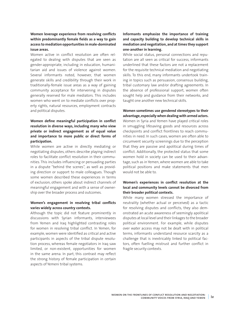#### **Women leverage experience from resolving conflicts within predominantly female fields as a way to gain access to mediation opportunities in male-dominated issue areas.**

Women active in conflict resolution are often relegated to dealing with disputes that are seen as gender-appropriate, including in education, humanitarian aid and issues of violence against women. Several informants noted, however, that women generate skills and credibility through their work in traditionally-female issue areas as a way of gaining community acceptance for intervening in disputes generally reserved for male mediators. This includes women who went on to mediate conflicts over property rights, natural resources, employment contracts and political disputes.

#### **Women define meaningful participation in conflict resolution in diverse ways, including many who view private or indirect engagement as of equal value and importance to more public or direct forms of participation.**

While women are active in directly mediating or negotiating disputes, others describe playing indirect roles to facilitate conflict resolution in their communities. This includes influencing or persuading parties in a dispute "behind the scenes", as well as providing direction or support to male colleagues. Though some women described these experiences in terms of exclusion, others spoke about indirect channels of meaningful engagement and with a sense of ownership over the broader process and outcomes.

#### **Women's engagement in resolving tribal conflicts varies widely across country contexts.**

Although the topic did not feature prominently in discussions with Syrian informants, interviewees from Yemen and Iraq highlighted contrasting roles for women in resolving tribal conflict. In Yemen, for example, women were identified as critical and active participants in aspects of the tribal dispute resolution process, whereas female negotiators in Iraq saw limited, or non-existent, opportunities for women in the same arena. In part, this contrast may reflect the strong history of female participation in certain aspects of Yemeni tribal systems.

#### **Informants emphasize the importance of training and capacity building to develop technical skills in mediation and negotiation, and at times they support one-another in learning.**

While social status, personal connections and reputation are all seen as critical for success, informants underlined that these factors are not a replacement for the requisite technical mediation and negotiating skills. To this end, many informants undertook training in topics such as persuasion, consensus building, tribal customary law and/or drafting agreements. In the absence of professional support, women often sought help and guidance from their networks, and taught one another new technical skills.

#### **Women sometimes use gendered stereotypes to their advantage, especially when dealing with armed actors.** Women in Syria and Yemen have played critical roles in smuggling lifesaving goods and resources across checkpoints and conflict frontlines to reach communities in need. In such cases, women are often able to circumvent security screenings due to the perception that they are passive and apolitical during times of conflict. Additionally, the protected status that some women hold in society can be used to their advantage, such as in Yemen, where women are able to take political positions and make statements that men would not be able to.

#### **Women's experiences in conflict resolution at the local and community levels cannot be divorced from their broader political contexts.**

While many women stressed the importance of neutrality (whether actual or perceived) as a tactic for resolving disputes and conflicts, they also demonstrated an acute awareness of seemingly apolitical disputes at local level and their linkages to the broader political environment. For example, while disputes over water access may not be dealt with in political terms, informants understand resource scarcity as a challenge that is inextricably linked to political factors, often fuelling mistrust and further conflict in fragile security contexts.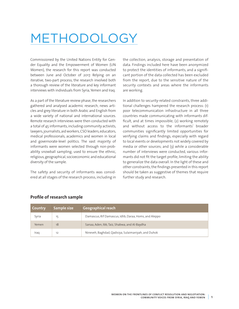# METHODOLOGY

Commissioned by the United Nations Entity for Gender Equality and the Empowerment of Women (UN Women), the research for this report was conducted between June and October of 2017. Relying on an iterative, two-part process, the research involved both a thorough review of the literature and key informant interviews with individuals from Syria, Yemen and Iraq.

As a part of the literature review phase, the researchers gathered and analysed academic research, news articles and grey literature in both Arabic and English from a wide variety of national and international sources. Remote research interviews were then conducted with a total of 45 informants, including community activists, lawyers, journalists, aid workers, CSO leaders, educators, medical professionals, academics and women in local and governorate-level politics. The vast majority of informants were women selected through non-probability snowball sampling, used to ensure the ethnic, religious, geographical, socioeconomic and educational diversity of the sample.

The safety and security of informants was considered at all stages of the research process, including in the collection, analysis, storage and presentation of data. Findings included here have been anonymized to protect the identities of informants, and a significant portion of the data collected has been excluded from the report, due to the sensitive nature of the security contexts and areas where the informants are working.

In addition to security-related constraints, three additional challenges hampered the research process: (1) poor telecommunication infrastructure in all three countries made communicating with informants difficult, and at times impossible; (2) working remotely and without access to the informants' broader communities significantly limited opportunities for verifying claims and findings, especially with regard to local events or developments not widely covered by media or other sources; and (3) while a considerable number of interviews were conducted, various informants did not fit the target profile, limiting the ability to generalize the data overall. In the light of these and other constraints, the findings presented in this report should be taken as suggestive of themes that require further study and research.

| Country | Sample size | <b>Geographical reach</b>                              |
|---------|-------------|--------------------------------------------------------|
| Syria   | 15          | Damascus, Rif Damascus, Idlib, Daraa, Homs, and Aleppo |
| Yemen   | 18          | Sanaa, Aden, Ibb, Taiz, Shabwa, and Al-Baydha          |
| Iraq    | 12          | Nineveh, Baghdad, Qadisiya, Sulaimaniyah, and Duhok    |

#### **Profile of research sample**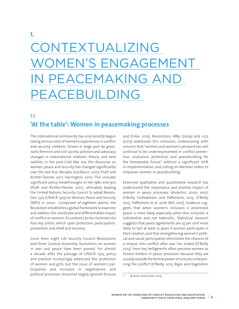# CONTEXTUALIZING WOMEN'S ENGAGEMENT IN PEACEMAKING AND PEACEBUILDING

**1.1** 

**1.**

## **'At the table': Women in peacemaking processes**

The international community has only recently begun taking serious note of women's experiences in conflict and security contexts. Driven in large part by grassroots feminist and civil society activism and advocacy, changes in international relations theory, and new realities in the post-Cold War era, the discourse on women, peace and security has changed significantly over the last four decades (Cockburn, 2007; Pratt and Richter-Devroe, 2011; Harrington, 2011). This includes significant policy breakthroughs in the 1980 and 90s (Pratt and Richter-Devroe, 2011), ultimately leading the United Nations Security Council to adopt Resolution 1325 (UNSCR 1325) on Women, Peace and Security (WPS) in 2000. Composed of eighteen points, the Resolution establishes a global framework to examine and address the inordinate and differentiated impact of conflict on women. Its content can be clustered into four key pillars, which span protection, participation, prevention, and relief and recovery.

Since then, eight UN Security Council Resolutions and three General Assembly resolutions on women in war and peace have been passed. For almost a decade after the passage of UNSCR 1325, policy and practice increasingly addressed the protection of women and girls, but the issue of women's participation and inclusion in negotiations and political processes remained largely ignored (Krause

and Enloe, 2015). Resolutions 1889 (2009) and 2122 (2013) addressed this omission, underscoring with concern that "women and women's perspectives will continue to be underrepresented in conflict prevention, resolution, protection and peacebuilding for the foreseeable future" without a significant shift in implementation, and calling on Member states to empower women in peacebuilding.<sup>1</sup>

Extensive qualitative and quantitative research has underscored the importance and positive impact of women in peace processes (Anderlini, 2000, 2007; O'Reilly, Súilleabháin and Paffenholz, 2015; O'Reilly, 2015; Paffenholz et al, 2016; Bell, 2015). Evidence suggests that when women's inclusion is prioritized, peace is more likely, especially when this inclusion is substantive and not tokenistic. Statistical research suggests that peace agreements are 35 per cent more likely to last at least 15 years if women participate in their creation, and that strengthening women's political and social participation diminishes the chances of a relapse into conflict after war has ended (O'Reilly, 2015). Here too, belligerents often perceive women as honest brokers in peace processes because they are usually outside the formal power structures underpinning the conflict (O'Reilly, 2015; Bigio and Vogelstein,

<sup>(</sup>Krause and Enloe, 2015)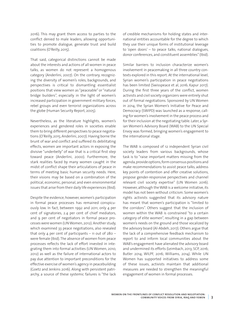2016). This may grant them access to parties to the conflict denied to male leaders, allowing opportunities to promote dialogue, generate trust and build coalitions (O'Reilly, 2015).

That said, categorical distinctions cannot be made about the interests and actions of all women in peace talks, as women do not represent a homogenous category (Anderlini, 2007). On the contrary, recognizing the diversity of women's roles, backgrounds, and perspectives is critical to dismantling essentialist positions that view women as "peaceable" or "natural bridge builders", especially in the light of women's increased participation in government military forces, rebel groups and even terrorist organizations across the globe (Human Security Report, 2005).

Nevertheless, as the literature highlights, women's experiences and gendered roles in societies enable them to bring different perspectives to peace negotiations (O'Reilly, 2015; Anderlini, 2007). Having borne the brunt of war and conflict and suffered its debilitating effects, women are important actors in exposing the divisive "underbelly" of war that is a critical first step toward peace (Anderlini, 2000). Furthermore, the stark realities faced by many women caught in the midst of conflict shape their articulations of peace in terms of meeting basic human security needs. Here, their visions may be based on a combination of the political, economic, personal, and even environmental issues that arise from their daily life experiences (Ibid).

Despite the evidence, however, women's participation in formal peace processes has remained conspicuously low. In fact, between 1992 and 2011, only 4 per cent of signatories, 2.4 per cent of chief mediators, and 9 per cent of negotiators in formal peace processes were women (UN Women, 2012). Another study, which examined 33 peace negotiations, also revealed that only 4 per cent of participants – 11 out of  $280$ were female (Ibid). The absence of women from peace processes reflects the lack of effort invested in integrating them into formal activities (UN Women, 2010, 2012) as well as the failure of international actors to pay due attention to important preconditions for the effective exercise of women's agency in peacebuilding (Goetz and Jenkins 2016). Along with persistent patriarchy, a source of these systemic failures is "the lack of credible mechanisms for holding states and international entities accountable for the degree to which they use their unique forms of institutional leverage to 'open doors' – to peace talks, national dialogues, donor conferences, and constituent assemblies" (Ibid).

Similar barriers to inclusion characterize women's involvement in peacemaking in all three country contexts explored in this report. At the international level, Syrian women's participation in peace negotiations has been limited (Swisspeace et al, 2016; Kapur 2017). During the first three years of the conflict, women activists and civil society organizers were entirely shut out of formal negotiations. Sponsored by UN Women in 2014, the Syrian Women's Initiative for Peace and Democracy (SWIPD) was launched as a response, calling for women's involvement in the peace process and for their inclusion at the negotiating table. Later, a Syrian Women's Advisory Board (WAB) to the UN Special Envoy was formed, bringing women's engagement to the international stage.

The WAB is composed of 12 independent Syrian civil society leaders from various backgrounds, whose task is to "raise important matters missing from the agenda, provide options, form consensus positions and make recommendations to assist peace talks, address key points of contention and offer creative solutions, propose gender-responsive perspectives and channel relevant civil society expertise" (UN Women 2016). However, although the WAB is a welcome initiative, its model has not been without criticism. Some women's rights activists suggested that its advisory nature has meant that women's participation is "limited to the corridors". Others suggest that the inclusion of women within the WAB is constrained "to a certain category of elite women", resulting in a gap between women's needs on the ground and those vocalized by the advisory board (Al-Abdeh, 2017). Others argue that the lack of a comprehensive feedback mechanism to report to and inform local communities about the WAB's engagement have alienated the advisory board and undermined its efforts (Leimbach, 2013; SCP, 2016; Butler 2014; WILPF, 2016; Williams, 2014). While UN Women has supported initiatives to address some of these issues, activists maintain that additional measures are needed to strengthen the meaningful engagement of women in formal processes.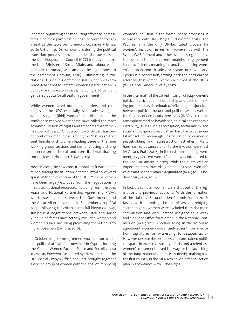In Yemen, organizing and mobilizing efforts to increase female political participation enabled women to earn a seat at the table on numerous occasions (Heinze, 2016; Jarhum, 2016). For example, during the political transition process launched under the auspices of the Gulf Cooperation Council (GCC) Initiative in 2011, the then Minister of Social Affairs and Labour, Amat Al-Razak Hummad, was among the signatories to the agreement (Jarhum, 2016). Culminating in the National Dialogue Conference (NDC), the GCC-brokered deal called for greater women's participation in political and peace processes, including a 30 per cent gendered quota for all seats in government.

While women faced numerous barriers and challenges at the NDC, especially when advocating for women's rights (Ibid), women's contributions at the conference marked what some have called the most advanced version of rights and freedoms that Yemen has ever witnessed. Once a country with less than one per cent of women in parliament, the NDC was 28 per cent female, with women leading three of the nine working group sessions and demonstrating a strong presence on technical and constitutional drafting committees (Jarhum, 2016; CMI, 2015).

Nevertheless, the new constitutional draft was undermined, forcing the situation in Yemen into a downward spiral. With the exception of the NDC, Yemeni women have been largely excluded from the negotiations in mediated national processes, including from the 2014 Peace and National Partnership Agreement (PNPA), which was signed between the Government and the Ansar Allah movement in September 2014 (CMI 2015). Following the collapse into full blown civil war, subsequent negotiations between Hadi and Ansar Allah-Saleh forces have actively excluded women and women's issues, including preventing them from acting as observers (Jarhum, 2016).

In October 2015, some 45 Yemeni women from different political affiliations convened in Cyprus, forming the Yemeni Women Pact for Peace and Security (also known as *Tawafaq*). Facilitated by UN Women and the UN Special Envoy's Office, the Pact brought together a diverse group of women with the goal of improving women's inclusion in the formal peace processes in accordance with UNSCR 1325 (UN Women 2015). The Pact remains the only UN-facilitated process for women's inclusion in Yemen. However, as with the Syrian WAB, Yemeni and other women's rights activists contend that the current model of engagement is not sufficiently meaningful, and that limiting women's participation to side discussions in Kuwait and Cyprus is a concession, setting back the hard-earned advances that Yemeni women achieved at the NDCs (WILPF, 2016; Anderlini et al, 2017).

In the aftermath of the US-led invasion of Iraq, women's political participation in leadership and decision-making positions has deteriorated, reflecting a disjuncture between political rhetoric and political will as well as the fragility of democratic processes (INAP, 2014). In an atmosphere marked by violence, political and economic instability, issues such as corruption, sectarianism, and social and religious conservatism have had a detrimental impact on meaningful participation of women in peacebuilding and reconstruction activities. Many hard-earned advances prior to the invasion were lost (Al-Ali and Pratt, 2008). In the first transitional government, a 25 per cent women's quota was introduced to the Iraqi Parliament in 2005. While the quota was an important step towards greater inclusion, women's voices and needs remain marginalized (INAP, 2014; Khodary, 2016; Kaya, 2016).

In fact, a year later, women were shut out of the legislative and provincial councils. With the formation of the National Reconciliation Commission in 2006, tasked with promoting the rule of law and bridging sectarian gaps, women were excluded from the main commission and were instead assigned to a weak and sidelined Office for Women in the National Commission (INAP, 2014; Khodary, 2016). In the 2010 Iraq agreement, women were entirely absent from mediation, signatures or witnessing (Ghazzaoui, 2016). However, despite the obstacles and constrained political space, in 2014, civil society efforts and a relentless women's movement paved the way for the launching of the Iraqi National Action Plan (INAP), making Iraq the first country in the MENA to have a national action plan in accordance with UNSCR 1325.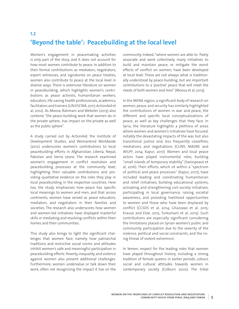## **'Beyond the table': Peacebuilding at the local level**

Women's engagement in peacemaking activities is only part of the story, and it does not account for how most women contribute to peace. In addition to their formal contributions as mediators, negotiators, expert witnesses, and signatories on peace treaties, women also contribute to peace at the local level in diverse ways. There is extensive literature on women in peacebuilding, which highlights women's contributions as peace activists, humanitarian workers, educators, life-saving health professionals, academics, facilitators and trainers (UN ESCWA, 2017; ActionAid et al, 2012). As Moosa, Rahmani and Webster (2013) also contend, "the peace-building work that women do in the private sphere…has impact on the private as well as the public sphere".

**1.2** 

A study carried out by ActionAid, the Institute of Development Studies, and Womankind Worldwide (2012) underscores women's contributions to local peacebuilding efforts in Afghanistan, Liberia, Nepal, Pakistan and Sierra Leone. The research examined women's engagement in conflict resolution and peacebuilding processes at the community level, highlighting their valuable contributions and providing qualitative evidence on the roles they play in local peacebuilding in the respective countries. Here too, the study emphasizes how peace has specific local meanings to women and men, and that across continents, women have served as peace educators, mediators, and negotiators in their families and societies. The research also underscores how women and women-led initiatives have displayed masterful skills in mediating and resolving conflicts within their homes and their communities.

This study also brings to light the significant challenges that women face; namely, how patriarchal traditions and restrictive social norms and attitudes inhibit women's safe and meaningful participation in peacebuilding efforts. Poverty, inequality, and violence against women also present additional challenges. Furthermore, women undervalue or talk down their work, often not recognizing the impact it has on the

community. Indeed, "where women are able to freely associate and work collectively, many initiatives to build and maintain peace, or mitigate the worst effects of conflict on women, have been developed at local level. These are not always what is traditionally understood by peace-building, but are important contributions to a 'positive' peace that will meet the needs of both women and men" (Moosa et al, 2013).

In the MENA region, a significant body of research on women, peace, and security has similarly highlighted the contributions of women in war and peace, the different and specific local conceptualizations of peace, as well as key challenges that they face. In Syria, the literature highlights a plethora of areas where women and women's initiatives have focused, notably the devastating impacts of the war, but also transitional justice and, less frequently ceasefires, mediations and negotiations (CUNY, MADRE and WILPF, 2014; Kapur, 2017). Women and local peace actors have played instrumental roles, building "small islands of temporary stability" (Swisspeace et al, 2016). Their efforts, which sit within a "spectrum of political and peace processes" (Kapur, 2017), have included leading and coordinating humanitarian and relief initiatives, building educational systems, activating and strengthening civil society initiatives, participating in local governance, raising societal awareness, and providing livelihood opportunities to women and those who have been displaced by conflict (CCSDS et al, 2014; Ghazzawi et al, 2015; Krause and Eloe, 2015; Turkumani et al, 2015). Such contributions are especially significant considering the limitations placed on Syrian women's public and community participation due to the severity of the violence, political and social constraints, and the rising threat of violent extremism.

In Yemen, respect for the leading roles that women have played throughout history, including a strong tradition of female queens in earlier periods, colours social and cultural attitudes towards women in contemporary society (Colburn 2002). The tribal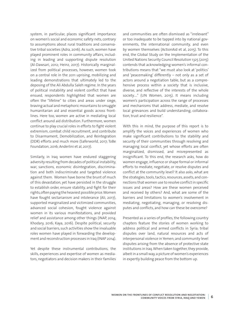system, in particular, places significant importance on women's social and economic safety nets, contrary to assumptions about rural traditions and conservative tribal societies (Adra, 2016). As such, women have played prominent roles in community affairs, including in leading and supporting dispute resolution (Al-Dawsari, 2012; Heinz, 2017). Historically marginalized from political processes, however, women took on a central role in the 2011 uprising, mobilizing and leading demonstrations that ultimately led to the deposing of the Ali Abdulla Saleh regime. In the years of political instability and violent conflict that have ensued, respondents highlighted that women are often the "lifeline" to cities and areas under siege, braving actual and metaphoric mountains to smuggle humanitarian aid and essential goods across frontlines. Here too, women are active in mediating local conflict around aid distribution. Furthermore, women continue to play crucial roles in efforts to fight violent extremism, combat child recruitment, and contribute to Disarmament, Demobilization, and Reintegration (DDR) efforts and much more (Saferworld, 2017; ToBe Foundation, 2016; Anderlini et al, 2017).

Similarly, in Iraq women have endured staggering adversity resulting from decades of political instability, war, sanctions, economic disintegration, discrimination and both indiscriminate and targeted violence against them. Women have borne the brunt of much of this devastation, yet have persisted in the struggle to establish order, ensure stability, and fight for their rights, often paying the heaviest possible price. Women have fought sectarianism and intolerance (Ali, 2017), supported marginalized and victimized communities, advanced social cohesion, fought violence against women in its various manifestations, and provided relief and assistance among other things (INAP, 2014; Khodary, 2016; Kaya, 2016). Despite political, security and social barriers, such activities show the invaluable roles women have played in forwarding the development and reconstruction processes in Iraq (INAP 2014).

Yet despite these instrumental contributions, the skills, experiences and expertise of women as mediators, negotiators and decision makers in their families and communities are often dismissed as "irrelevant" or too inadequate to be tapped into by national governments, the international community, and even by women themselves (ActionAid et al, 2015). To this end, the Global Study on the Implementation of the United Nations Security Council Resolution 1325 (2015) contends that acknowledging women's informal contributions means that "we must also look at 'politics' and 'peacemaking' differently – not only as a set of actors around a negotiation table, but as a comprehensive process within a society that is inclusive, diverse, and reflective of the interests of the whole society…." (UN Women, 2015). It means including women's participation across the range of processes and mechanisms that address, mediate, and resolve local grievances and build understanding, collaboration, trust and resilience".

With this in mind, the purpose of this report is to amplify the voices and experiences of women who make significant contributions to the stability and security of their communities through resolving and managing local conflict, yet whose efforts are often marginalized, dismissed, and misrepresented as insignificant. To this end, the research asks, how do women engage, influence or shape formal or informal efforts to mediate, negotiate, or resolve disputes and conflict at the community level? It also asks, what are the strategies, tools, tactics, resources, assets, and connections that women use to resolve conflict in specific issues and areas? How are these women perceived and received by others? And, what are some of the barriers and limitations to women's involvement in mediating, negotiating, managing, or resolving disputes and conflicts, and how can these be overcome?

Presented as a series of profiles, the following country chapters feature the stories of women working to address political and armed conflicts in Syria; tribal disputes over land, natural resources and acts of interpersonal violence in Yemen; and community level disputes arising from the absence of protective state institutions in Iraq. When taken together, they provide, albeit in a small way, a picture of women's experiences in expertly building peace from the bottom up.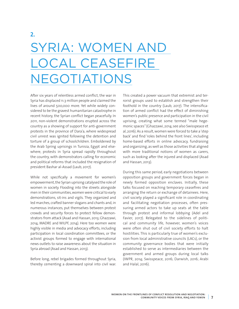# SYRIA: WOMEN AND OCAL CEASEFIRE NEGOTIATIONS

After six years of relentless armed conflict, the war in Syria has displaced 11.3 million people and claimed the lives of around 500,000 more. Yet while widely considered to be the gravest humanitarian catastrophe in recent history, the Syrian conflict began peacefully. In 2011, non-violent demonstrations erupted across the country as a showing of support for anti-government protests in the province of Dara'a, where widespread civil unrest was ignited following the detention and torture of a group of schoolchildren. Emboldened by the Arab Spring uprisings in Tunisia, Egypt and elsewhere, protests in Syria spread rapidly throughout the country, with demonstrators calling for economic and political reforms that included the resignation of president Bashar al-Assad (Laub, 2017).

While not specifically a movement for women's empowerment, the Syrian uprising catalysed the role of women in society. Flooding into the streets alongside men in their communities, women were critical to early demonstrations, sit-ins and vigils. They organized and led marches, crafted banner slogans and chants and, in numerous instances, put themselves between protest crowds and security forces to protect fellow demonstrators from attack (Asad and Hassan, 2013; Ghazzawi, 2014; MADRE and WILPF, 2014). Here too women were highly visible in media and advocacy efforts, including participation in local coordination committees, or the activist groups formed to engage with international news outlets to raise awareness about the situation in Syria abroad (Asad and Hassan, 2013).

Before long, rebel brigades formed throughout Syria, thereby cementing a downward spiral into civil war. This created a power vacuum that extremist and terrorist groups used to establish and strengthen their foothold in the country (Laub, 2017). The intensification of armed conflict had the effect of diminishing women's public presence and participation in the civil uprising, creating what some termed "male hegemonic spaces" (Ghazzawi, 2014; see also Swisspeace et al, 2016). As a result, women were forced to take a 'step back' and find 'roles behind the front lines', including home-based efforts in online advocacy, fundraising and organizing, as well as those activities that aligned with more traditional notions of women as carers, such as looking after the injured and displaced (Asad and Hassan, 2013).

During this same period, early negotiations between opposition groups and government forces began in newly formed opposition enclaves. Initially, these talks focused on reaching temporary ceasefires and arranging the return or exchange of detainees. Here, civil society played a significant role in coordinating and facilitating negotiation processes, often pressuring armed actors to take up seats at the table through protest and informal lobbying (Adel and Favier, 2017). Relegated to the sidelines of political and community life, however, women's voices were often shut out of civil society efforts to halt hostilities. This is particularly true of women's exclusion from local administrative councils (LACs), or the community governance bodies that were initially established to serve as intermediaries between the government and armed groups during local talks (IWPR, 2014; Swisspeace, 2016; Darwish, 2016; Arabi and Halal, 2016).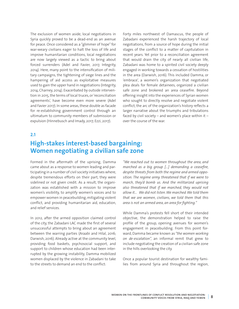The exclusion of women aside, local negotiations in Syria quickly proved to be a dead-end as an avenue for peace. Once considered as a "glimmer of hope" for war-weary civilians eager to halt the loss of life and improve humanitarian conditions, local negotiations are now largely viewed as a tactic to bring about forced surrenders (Adel and Favier, 2017, Integrity, 2014). Here, many point to the intensification of military campaigns, the tightening of siege lines and the hampering of aid access as exploitative measures used to gain the upper hand in negotiations (Integrity, 2014, Charney, 2014). Exacerbated by outside intervention in 2015, the terms of local truces, or 'reconciliation agreements', have become even more severe (Adel and Favier 2017). In some areas, these double as facade for re-establishing government control through an ultimatum to community members of submission or expulsion (Hinnebusch and Imady, 2017; Ezzi, 2017).

Forty miles northwest of Damascus, the people of Zabadani experienced the harsh trajectory of local negotiations, from a source of hope during the initial stages of the conflict to a matter of capitulation in recent years. Yet prior to a reconciliation agreement that would drain the city of nearly all civilian life, Zabadani was home to a spirited civil society deeply engaged in working towards a cessation of hostilities in the area (Darwish, 2016). This included Damma, or 'embrace', a women's organization that negotiated plea deals for female detainees, organized a civilian safe zone and brokered an area ceasefire. Beyond offering insight into the experiences of Syrian women who sought to directly resolve and negotiate violent conflict, the arc of the organization's history reflects a larger narrative about the triumphs and tribulations faced by civil society – and women's place within it – over the course of the war.

#### **2.1**

### **High-stakes interest-based bargaining: Women negotiating a civilian safe zone**

Formed in the aftermath of the uprising, Damma came about as a response to women leading and participating in a number of civil society initiatives where, despite tremendous efforts on their part, they were sidelined or not given credit. As a result, the organization was established with a mission to improve women's visibility, to amplify women's voices and to empower women in peacebuilding, mitigating violent conflict, and providing humanitarian aid, education, and relief services.

In 2012, after the armed opposition claimed control of the city, the Zabadani LAC made the first of several unsuccessful attempts to bring about an agreement between the warring parties (Araabi and Hilal, 2016; Darwish, 2016). Already active at the community level, providing food baskets, psychosocial support, and support to children whose education had been interrupted by the growing instability, Damma mobilized women displaced by the violence in Zabadani to take to the streets to demand an end to the conflict:

*"We reached out to women throughout the area, and marched as a big group […] demanding a ceasefire, despite threats from both the regime and armed opposition. The regime army threatened that if we were to march, they'd bomb us. And the militarized uprising also threatened that if we marched, they would not allow it… We did not listen.We marched.We told them that we are women, civilians, we told them that this area is not an armed area, an area for fighting."*

While Damma's protests fell short of their intended objective, the demonstration helped to raise the profile of the group, opening avenues for women's engagement in peacebuilding. From this point forward, Damma became known as *"the women working on de-escalation",* an informal remit that grew to include negotiating the creation of a civilian safe zone in the hills overlooking the city.

Once a popular tourist destination for wealthy families from around Syria and throughout the region,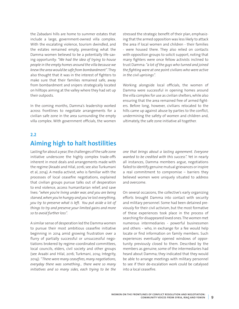the Zabadani hills are home to summer estates that include a large, government-owned villa complex. With the escalating violence, tourism dwindled, and the estates remained empty, presenting what the Damma women believed to be a potentially life-saving opportunity: *"We had the idea of trying to house people in the empty homes around the villa because we knew the area would be safe from bombardment"*. They also thought that it was in the interest of fighters to make sure that their families remained safe, away from bombardment and snipers strategically located on hilltops aiming at the valley where they had set up their outposts.

In the coming months, Damma's leadership worked across frontlines to negotiate arrangements for a civilian safe zone in the area surrounding the empty villa complex. With government officials, the women stressed the strategic benefit of their plan, emphasizing that the armed opposition was less likely to attack the area if local women and children - their families - were housed there. They also relied on contacts with opposition groups to solicit support, noting that many fighters were once fellow activists inclined to trust Damma: *"a lot of the guys who turned and joined the fighting were at one point civilians who were active in the civil uprisings".*

Working alongside local officials, the women of Damma were successful in opening homes around the villa complex for use as civilian shelters, while also ensuring that the area remained free of armed fighters. Before long, however, civilians relocated to the hills came up against abuse by parties to the conflict, undermining the safety of women and children and, ultimately, the safe zone initiative all together.

#### **2.2**

## **Aiming high to halt hostilities**

Lasting for about a year, the challenges of the safe zone initiative underscore the highly complex trade-offs inherent in most deals and arrangements made with the regime (Araabi and Hilal, 2016; see also Turkumani et al, 2014). A media activist, who is familiar with the processes of local ceasefire negotiations, explained that civilian groups pursue talks out of desperation to end violence, access humanitarian relief, and save lives*:"when you're living under war, and you are being starved,when you're hungry and you've lost everything, you try to preserve what is left. You put aside a lot of things to try and preserve your limited gains and more so to avoid further loss".*

A similar sense of desperation led the Damma women to pursue their most ambitious ceasefire initiative beginning in 2014 amid growing frustration over a flurry of partially successful or unsuccessful negotiations brokered by regime-coordinated committees, local councils, elders, civil society and other groups (see Araabi and Hilal, 2016; Turkmani, 2014; Integrity, 2014): "*There were many ceasefires, many negotiations, everyday there was something… there were so many initiatives and so many sides, each trying to be the*

*one that brings about a lasting agreement. Everyone wanted to be credited with this success".* Yet in nearly all instances, Damma members argue, negotiations failed to identify genuine mutual grievances or inspire a real commitment to compromise – barriers they believed women were uniquely situated to address and overcome.

On several occasions, the collective's early organizing efforts brought Damma into contact with security and military personnel. Some had been detained previously for their civil activism, but the most formative of these experiences took place in the process of searching for disappeared loved ones. The women met numerous intermediaries - powerful businessmen and others - who, in exchange for a fee would help locate or find information on family members. Such experiences eventually opened windows of opportunity previously closed to them. Described by the members as genuine, some of the intermediaries had heard about Damma; they indicated that they would be able to arrange meetings with military personnel to see if their de-escalation work could be catalysed into a local ceasefire.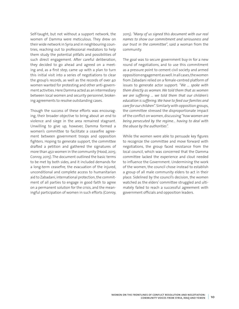Self-taught, but not without a support network, the women of Damma were meticulous. They drew on their wide network in Syria and in neighbouring countries, reaching out to professional mediators to help them study the potential pitfalls and possibilities of such direct engagement. After careful deliberation, they decided to go ahead and agreed on a meeting and, as a first step, came up with a plan to turn this initial visit into a series of negotiations to clear the group's records, as well as the records of over 40 women wanted for protesting and other anti-government activities. Here Damma acted as an intermediary between local women and security personnel, brokering agreements to resolve outstanding cases.

Though the success of these efforts was encouraging, their broader objective to bring about an end to violence and siege in the area remained stagnant. Unwilling to give up, however, Damma formed a women's committee to facilitate a ceasefire agreement between government troops and opposition fighters. Hoping to generate support, the committee drafted a petition and gathered the signatures of more than 450 women in the community (Hood, 2015; Conroy, 2015). The document outlined the basic terms to be met by both sides, and it included demands for a long-term ceasefire, the evacuation of the injured, unconditional and complete access to humanitarian aid to Zabadani, international protection, the commitment of all parties to engage in good faith to agree on a permanent solution for the crisis, and the meaningful participation of women in such efforts (Conroy, 2015). *"Many of us signed this document with our real names to show our commitment and seriousness and our trust in the committee*", said a woman from the community.

The goal was to secure government buy-in for a new round of negotiations, and to use this commitment as a pressure point to cement civil society and armed opposition engagement as well. In all cases, the women from Zabadani relied on a female-centred platform of issues to generate actor support: *"We … spoke with them directly as women.We told them that as women we are suffering ... we told them that our children's education is suffering.We have to feed our families and care for our children".* Similarly with opposition groups, the committee stressed the disproportionate impact of the conflict on women, discussing "*how women are being persecuted by the regime… having to deal with the abuse by the authorities".*

While the women were able to persuade key figures to recognize the committee and move forward with negotiations, the group faced resistance from the local council, which was concerned that the Damma committee lacked the experience and clout needed to influence the Government. Undermining the work of the women, the council chose instead to establish a group of all male community elders to act in their place. Sidelined by the council's decision, the women watched as the elders' committee struggled and ultimately failed to reach a successful agreement with government officials and opposition leaders.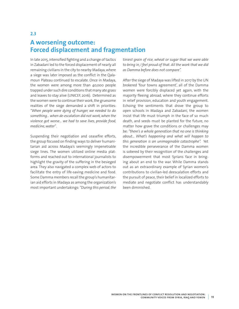## **A worsening outcome: Forced displacement and fragmentation**

In late 2015, intensified fighting and a change of tactics in Zabadani led to the forced displacement of nearly all remaining civilians in the city to nearby Madaya, where a siege was later imposed as the conflict in the Qalamoun Plateau continued to escalate. Once in Madaya, the women were among more than 40,000 people trapped under such dire conditions that many ate grass and leaves to stay alive (UNICEF, 2016). Determined as the women were to continue their work, the gruesome realities of the siege demanded a shift in priorities: *"When people were dying of hunger, we needed to do something… when de-escalation did not work, when the violence got worse… we had to save lives, provide food, medicine,water"*.

Suspending their negotiation and ceasefire efforts, the group focused on finding ways to deliver humanitarian aid across Madaya's seemingly impenetrable siege lines. The women utilized online media platforms and reached out to international journalists to highlight the gravity of the suffering in the besieged area. They also navigated a complex web of actors to facilitate the entry of life-saving medicine and food. Some Damma members recall the group's humanitarian aid efforts in Madaya as among the organization's most important undertakings: *"During this period,the*

*tiniest grain of rice, wheat or sugar that we were able to bring in, I feel proud of that. All the work that we did as Damma before does not compare".*

After the siege of Madaya was lifted in 2017 by the UN brokered 'four towns agreement', all of the Damma women were forcibly displaced yet again, with the majority fleeing abroad, where they continue efforts in relief provision, education and youth engagement. Echoing the sentiments that drove the group to open schools in Madaya and Zabadani, the women insist that life must triumph in the face of so much death, and seeds must be planted for the future, no matter how grave the conditions or challenges may be: *"there's a whole generation that no one is thinking about… What's happening and what will happen to this generation is an unimaginable catastrophe".* Yet the incredible perseverance of the Damma women is sobered by their recognition of the challenges and disempowerment that most Syrians face in bringing about an end to the war. While Damma stands out as an extraordinary example of Syrian women's contributions to civilian-led deescalation efforts and the pursuit of peace, their belief in localized efforts to mediate and negotiate conflict has understandably been diminished.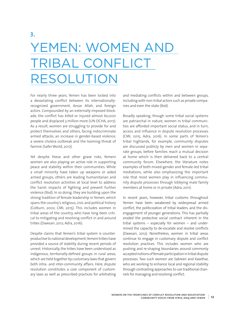## **3.** YEMEN: WOMEN AND TRIBAL CONFLICT RESOLUTION

For nearly three years, Yemen has been locked into a devastating conflict between its internationallyrecognized government, Ansar Allah, and foreign actors. Compounded by an externally-imposed blockade, the conflict has killed or injured almost 60,000 people and displaced 3 million more (UN OCHA, 2017). As a result, women are struggling to provide for and protect themselves and others, facing indiscriminate armed attacks, an increase in gender-based violence, a severe cholera outbreak and the looming threat of famine (Safer World, 2017).

Yet despite these and other grave risks, Yemeni women are also playing an active role in supporting peace and stability within their communities. While a small minority have taken up weapons or aided armed groups, others are leading humanitarian and conflict resolution activities at local level to address the harsh impacts of fighting and prevent further violence (Ibid). In so doing, they are building upon the strong tradition of female leadership in Yemen, which spans the country's religious, civic and political history (Colburn, 2002; CMI, 2015). This includes women in tribal areas of the country, who have long been critical to mitigating and resolving conflict in and around tribes (Dawsari, 2012; Adra, 2016).

Despite claims that Yemen's tribal system is counterproductive to national development, Yemeni tribes have provided a source of stability during recent periods of unrest. Historically, the tribes have been understood as indigenous, territorially-defined groups in rural areas, which are held together by customary laws that govern both intra- and inter-community affairs. Here, dispute resolution constitutes a core component of customary laws as well as prescribed practices for arbitrating

and mediating conflicts within and between groups, including with non-tribal actors such as private companies and even the state (Ibid).

Broadly speaking, though some tribal social systems are patriarchal in nature, women in tribal communities are afforded important social status, and in turn, access and influence in dispute resolution processes (CMI, 2015; Adra, 2016). In some parts of Yemen's tribal highlands, for example, community disputes are discussed publicly by men and women in separate groups, before families reach a mutual decision at home which is then delivered back to a central community forum. Elsewhere, the literature notes examples of both mixed-gender and female-led tribal mediations, while also emphasizing the important role that most women play in influencing community dispute processes through lobbying male family members at home or in private (Adra, 2011).

In recent years, however, tribal customs throughout Yemen have been weakened by widespread armed conflict, the politicization of tribal leaders, and the disengagement of younger generations. This has partially eroded the protective social contract inherent in the tribal systems – especially for women – and undermined the capacity to de-escalate and resolve conflicts (Dawsari, 2012). Nonetheless, women in tribal areas continue to engage in customary dispute and conflict resolution practices. This includes women who are pushing and re-shaping boundaries around commonly accepted notions of female participation in tribal dispute processes. Two such women are Sabreen and Kawthar, who are working to enhance local and regional stability through contrasting approaches to use traditional channels for managing and resolving conflict.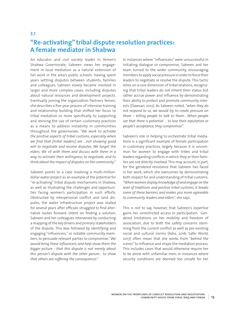## **"Re-activating" tribal dispute resolution practices: A female mediator in Shabwa**

An educator and civil society leader in Yemen's Shabwa Governorate, Sabreen views her engagement in local mediation as a natural extension of her work in the area's public schools. Having spent years settling disputes between students, families and colleagues, Sabreen slowly became involved in larger and more complex cases, including disputes about natural resources and development projects. Eventually joining the organization Partners Yemen, she describes a five-year process of intensive training and relationship building that shifted her focus to tribal mediation or, more specifically, to supporting and reviving the use of certain customary practices as a means to address instability in communities throughout the governorate: *"We work to activate the positive aspects of tribal customs, especially when we find that [tribal leaders] are ...not showing good will to negotiate and resolve disputes. We target the elders. We sit with them and discuss with them in a way to activate their willingness to negotiate, and to think about the impact of disputes on the community".*

**3.1**

Sabreen points to a case involving a multi-milliondollar water project as an example of the potential for "re-activating" tribal dispute mechanisms in Shabwa, as well as illustrating the challenges and opportunities facing women's participation in such efforts. Obstructed by interpersonal conflict and land disputes, the water infrastructure project was stalled for several years after officials struggled to find alternative routes forward. Intent on finding a solution, Sabreen and her colleagues intervened by conducting a mapping of the key drivers and primary stakeholders of the dispute. This was followed by identifying and engaging "influencers," or notable community members, to persuade relevant parties to compromise: "*We would bring these influencers, and help show them the bigger picture - that this dispute is not merely about this person's dispute with the other person… to show that others are suffering the consequences".*

In instances where "influencers" were unsuccessful in initiating dialogue or compromise, Sabreen and her team turned to the wider community, encouraging members to apply social pressure in order to force their leaders to negotiate or resolve the dispute. This tactic relies on a core dimension of tribal relations, recognizing that tribal leaders do not inherit their status but rather accrue power and influence by demonstrating their ability to protect and promote community interests (Dawsari, 2012). As Sabreen noted, *"when they do not respond to us, we would try to create pressure on them – telling people to talk to them... When people see that there is potential … to lose their reputation or people's acceptance, they compromise".*

Sabreen's role in helping to orchestrate tribal mediations is a significant example of female participation in customary practices, largely because it is uncommon for women to engage with tribes and tribal leaders regarding conflicts in which they or their families are not directly involved. This may account, in part, for the gendered resistance that Sabreen has faced in her work, which she overcomes by demonstrating both respect for and understanding of tribal customs: *"When women display knowledge of and engage on the level of traditions and positive tribal customs, it breaks some of these barriers, and makes you more agreeable to community leaders and elders",* she says.

This is not to say, however, that Sabreen's expertise gains her unrestricted access or participation. Gendered limitations on her mobility and freedom of association, due to both the safety concerns stemming from the current conflict as well as pre-existing social and cultural norms (Adra, 2016; Safer World, 2017) often mean that she works from "*behind the scenes*" to influence and shape the mediation process. This includes cases that would otherwise require her to be alone with unfamiliar men, or instances where security conditions are deemed too unsafe for her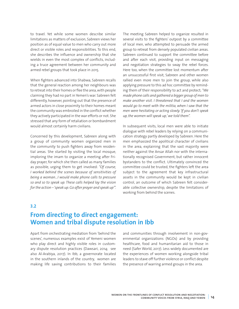to travel. Yet while some women describe similar limitations as matters of exclusion, Sabreen views her position as of equal value to men who carry out more direct or visible roles and responsibilities. To this end, she describes the influence and ownership that she wields in even the most complex of conflicts, including a truce agreement between her community and armed rebel groups that took place in 2015.

When fighters advanced into Shabwa, Sabreen recalls that the general reaction among her neighbours was to retreat into their homes or flee the area, with people claiming they had no part in Yemen's war. Sabreen felt differently, however, pointing out that the presence of armed actors in close proximity to their homes meant the community was embroiled in the conflict whether they actively participated in the war efforts or not. She stressed that any form of retaliation or bombardment would almost certainly harm civilians.

Concerned by this development, Sabreen along with a group of community women organized men in the community to push fighters away from residential areas. She started by visiting the local mosque, imploring the imam to organize a meeting after Friday prayer, for which she then called as many families as possible, urging them to get involved: *"Of course, I worked behind the scenes because of sensitivities of being a woman...I would make phone calls to pressure so and so to speak up. These calls helped lay the vision for the action –'speak up.Go after prayer and speak up'".*

The meeting Sabreen helped to organize resulted in several visits to the fighters' outpost by a committee of local men, who attempted to persuade the armed group to retreat from densely populated civilian areas. Sabreen continued to support the committee before and after each visit, providing input on messaging and negotiation strategies to sway the rebel forces. Here too, when the committee lost momentum after an unsuccessful first visit, Sabreen and other women rallied even more men to join the group, while also applying pressure to this ad hoc committee by reminding them of their responsibility to act and protect; *"We made phone calls and gathered a bigger group of men to make another visit. I threatened that I and the women would go to meet with the militia, when I saw that the men were hesitating or acting slowly. 'If you don't speak up,the women will speak up,'we told them".*

In subsequent visits, local men were able to initiate dialogue with rebel leaders by relying on a communication strategy partly developed by Sabreen. Here the men emphasized the apolitical character of civilians in the area, explaining that the vast majority were neither against the Ansar Allah nor with the internationally recognised Government, but rather innocent bystanders to the conflict. Ultimately convinced the committee could be trusted, the fighters left the area subject to the agreement that key infrastructural assets in the community would be kept in civilian control, an outcome of which Sabreen felt considerable collective ownership, despite the limitations of working from behind the scenes.

#### **3.2**

### **From directing to direct engagement: Women and tribal dispute resolution in Ibb**

Apart from orchestrating mediation from 'behind the scenes', numerous examples exist of Yemeni women who play direct and highly visible roles in customary dispute resolution practices (Dawsari, 2014; see also Al-Arabiya, 2017). In Ibb, a governorate located in the southern inlands of the country, women are making life saving contributions to their families and communities through involvement in non-governmental organizations (NGOs) and by providing healthcare, food and humanitarian aid to those in need (Safer World, 2017). Less widely documented are the experiences of women working alongside tribal leaders to stave off further violence or conflict despite the presence of warring armed groups in the area.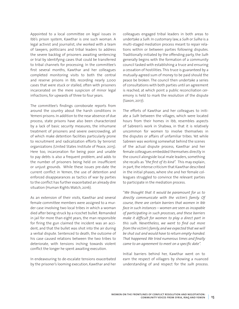Appointed to a local committee on legal issues in Ibb's prison system, Kawthar is one such woman. A legal activist and journalist, she worked with a team of lawyers, politicians and tribal leaders to address the severe backlog of prisoners awaiting sentencing or trial by identifying cases that could be transferred to tribal channels for processing. In the committee's first several months, Kawthar and her colleagues completed monitoring visits to both the central and reserve prisons in Ibb, recording nearly 2,000 cases that were stuck or stalled, often with prisoners incarcerated on the mere suspicion of minor legal infractions, for upwards of three to four years.

The committee's findings corroborate reports from around the country about the harsh conditions in Yemeni prisons. In addition to the near absence of due process, state prisons have also been characterized by a lack of basic security measures, the inhumane treatment of prisoners and severe overcrowding, all of which make detention facilities particularly prone to recruitment and radicalization efforts by terrorist organizations (United States Institute of Peace, 2015). Here too, incarceration for being poor and unable to pay debts is also a frequent problem, and adds to the number of prisoners being held on insufficient or unjust grounds. While these issues pre-date the current conflict in Yemen, the use of detention and enforced disappearances as tactics of war by parties to the conflict has further exacerbated an already dire situation (Human Rights Watch, 2016).

As an extension of their visits, Kawthar and several female committee members were assigned to a murder case involving two local tribes in which a woman died after being struck by a ricochet bullet. Remanded in jail for more than eight years, the man responsible for firing the gun claimed the incident was an accident, and that the bullet was shot into the air during a verbal dispute. Sentenced to death, the outcome of his case caused relations between the two tribes to deteriorate, with tensions inching towards violent conflict the longer he spent awaiting execution.

In endeavouring to de-escalate tensions exacerbated by the prisoner's looming execution, Kawthar and her colleagues engaged tribal leaders in both areas to undertake a *Sulh*. In customary law, a *Sulh* or *Sulha* is a multi-staged mediation process meant to repair relations within or between parties following disputes. Traditionally initiated by the offending party, the *Sulh* generally begins with the formation of a community council tasked with establishing a truce and ensuring a cessation of hostilities. This truce is guaranteed by a mutually-agreed sum of money to be paid should the peace be broken. The council then undertake a series of consultations with both parties until an agreement is reached, at which point a public reconciliation ceremony is held to mark the resolution of the dispute (Saxon, 2017).

The efforts of Kawthar and her colleagues to initiate a *Sulh* between the villages, which were located hours from their homes in Ibb, resembles aspects of Sabreen's work in Shabwa, in that it is relatively uncommon for women to involve themselves in the disputes or affairs of unfamiliar tribes. Yet while Sabreen was working somewhat behind the scenes of the actual dispute process, Kawthar and her female colleagues embedded themselves directly in the council alongside local male leaders, something she recalls as *"the first of its kind".* This may explain, in part, the intense criticism that Kawthar described in the initial phases, where she and her female colleagues struggled to convince the relevant parties to participate in the mediation process.

"*We thought that it would be paramount for us to directly communicate with the victim's family. Of course, there are certain barriers that women in Ibb face in such instances – women are seen as incapable of participating in such processes, and these barriers make it difficult for women to play a direct part in this sulh. Nevertheless, we went to find out more from the victim'sfamily,and we expected that we will be shut out and would have to return empty-handed. That happened.We tried numerous times and finally came to an agreement to meet on a specific date".*

Initial barriers behind her, Kawthar went on to earn the respect of villagers by showing a nuanced understanding of and respect for the *sulh* process.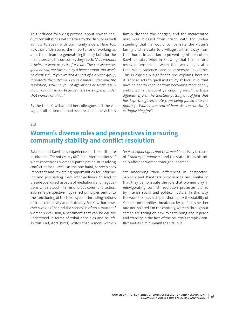This included following protocol about how to conduct consultations with parties to the dispute as well as how to speak with community elders. Here, too, Kawthar underscored the importance of working as a part of a team to generate legitimacy both for the mediators and the outcomes they reach. *" As a woman, it helps to work as part of a team. The consequences, good or bad, are taken on by a bigger group. You won't be chastised… If you worked as part of a diverse group, it protects the outcome. People cannot undermine the resolution, accusing you of affiliations or secret agendas or what have you because there were different sides that worked on this…"*

By the time Kawthar and her colleagues left the village, a full settlement had been reached: the victim's family dropped the charges, and the incarcerated man was released from prison with the understanding that he would compensate the victim's family and relocate to a village further away from their home. In addition to preventing his execution, Kawthar takes pride in knowing that their efforts resolved tensions between the two villages at a time when violence seemed otherwise inevitable. This is especially significant, she explains, because it is these acts to quell instability at local level that have helped to keep Ibb from becoming more deeply embroiled in the country's ongoing war: *"It is these different efforts, the constant putting out of fires that has kept the governorate from being pulled into the fighting… Women are central here. We are constantly extinguishing fire".*

#### **3.3**

## **Women's diverse roles and perspectives in ensuring community stability and conflict resolution**

Sabreen and Kawthar's experiences in tribal dispute resolution offer noticeably different interpretations of what constitutes women's participation in resolving conflict at local level. On the one hand, Sabreen sees important and rewarding opportunities for influencing and persuading male intermediaries to lead or preside over direct aspects of mediations and negotiations. Understood in terms of broad communal action, Sabreen's perspective may reflect principles central to the functioning of the tribal system, including notions of trust, collectivity and mutuality. For Kawthar, however, working "behind the scenes" is often a matter of women's exclusion, a sentiment that can be equally understood in terms of tribal principles and beliefs. To this end, Adra (2017) writes that Yemeni women

*"expect equal rights and treatment"* precisely because of *"tribal egalitarianism"* and the status it has historically afforded women throughout Yemen.

Yet underlying their differences in perspective, Sabreen and Kawthars' experiences are similar in that they demonstrate the role that women play in reinvigorating conflict resolution processes stalled by intense social and political factors. In this way, the women's leadership in shoring up the stability of Yemeni communities threatened by conflict is neither rare nor isolated. On the contrary, women throughout Yemen are taking on new roles to bring about peace and stability in the face of the country's complex conflict and its dire humanitarian fallout.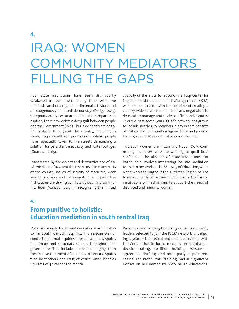# IRAQ: WOMEN OMMUNITY MEDIATORS **ILLING THE GAPS**

Iraqi state institutions have been dramatically weakened in recent decades by three wars, the harshest sanctions regime in diplomatic history, and an exogenously imposed democracy (Dodge, 2013). Compounded by sectarian politics and rampant corruption, there now exists a deep gulf between people and the Government (Ibid). This is evident from ongoing protests throughout the country, including in Basra, Iraq's wealthiest governorate, where people have repeatedly taken to the streets demanding a solution for persistent electricity and water outages (Guardian, 2015).

Exacerbated by the violent and destructive rise of the Islamic State of Iraq and the Levant (ISIL) in many parts of the country, issues of scarcity of resources, weak service provision, and the near-absence of protective institutions are driving conflicts at local and community level (Mansour, 2017). In recognizing the limited capacity of the State to respond, the Iraqi Center for Negotiation Skills and Conflict Management (IQCM) was founded in 2010 with the objective of creating a country-wide network of mediators and negotiators to de-escalate, manage, and resolve conflicts and disputes. Over the past seven years, IQCM's network has grown to include nearly 360 members, a group that consists of civil society, community, religious, tribal and political leaders, around 30 per cent of whom are women.

Two such women are Razan and Nada, IQCM community mediators who are working to quell local conflicts in the absence of, state institutions. For Razan, this involves integrating holistic mediation tools into her work at the Ministry of Education, while Nada works throughout the Kurdistan Region of Iraq to resolve conflicts that arise due to the lack of formal institutions or mechanisms to support the needs of displaced and minority women.

#### **4.1**

## **From punitive to holistic: Education mediation in south central Iraq**

 As a civil society leader and educational administrator in South Central Iraq, Razan is responsible for conducting formal inquiries into educational disputes in primary and secondary schools throughout her governorate. This includes incidents ranging from the abusive treatment of students to labour disputes filed by teachers and staff, of which Razan handles upwards of 40 cases each month.

Razan was also among the first group of community leaders selected to join the IQCM network, undergoing a year of theoretical and practical training with the Center that included modules on negotiation, decision-making, coalition building, persuasion, agreement drafting, and multi-party dispute processes. For Razan, this training had a significant impact on her immediate work as an educational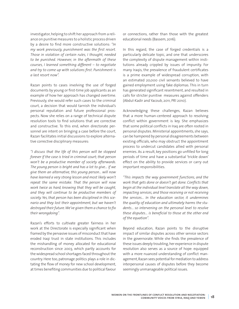investigator, helping to shift her approach from a reliance on punitive measures to a holistic process driven by a desire to find more constructive solutions: *"In my work previously, punishment was the first resort. Those in violation of certain rules, I thought, needed to be punished. However, in the aftermath of these courses, I learned something different – to negotiate and try to come up with solutions first. Punishment is a last resort now".*

Razan points to cases involving the use of forged documents by young or first-time job applicants as an example of how her approach has changed overtime. Previously, she would refer such cases to the criminal court, a decision that would tarnish the individual's personal reputation and future professional prospects. Now she relies on a range of technical dispute resolution tools to find solutions that are corrective and constructive. To this end, when directorate personnel are intent on bringing a case before the court, Razan facilitates initial discussions to explore alternative corrective disciplinary measures:

*"I discuss that the life of this person will be stopped forever if the case is tried in criminal court; that person won't be a productive member of society afterwards. The young person is bright and has a lot to give… if we give them an alternative, this young person... will now have learned a very strong lesson and most likely won't repeat the same mistake. That the person will now work twice as hard, knowing that they will be caught, and they will continue to be productive members of society. Yes, that person has been disciplined in this scenario and they lost their appointment, but we haven't destroyed their future.We've given them a chance to fix their wrongdoing".*

Razan's efforts to cultivate greater fairness in her work at the Directorate is especially significant when framed by the pervasive issues of misconduct that have eroded Iraqi trust in state institutions. This includes the mishandling of money allocated for educational reconstruction since 2003, which partly accounts for the widespread school shortages faced throughout the country. Here too, patronage politics plays a role in dictating the flow of money for new school development, at times benefiting communities due to political favour or connections, rather than those with the greatest educational needs (Bassem, 2016).

In this regard, the case of forged credentials is a particularly delicate topic, and one that underscores the complexity of dispute management within institutions already crippled by issues of impunity. For many Iraqis, the prevalence of fraudulent certificates is a prime example of widespread corruption, with an estimated 20,000 civil servants believed to have gained employment using fake diplomas. This in turn has generated significant resentment, and resulted in calls for stricter punitive measures against offenders (Abdul-Kadir and Yacoub, 2011, PRI 2010).

Acknowledging these challenges, Razan believes that a more human-centered approach to resolving conflict within government is key. She emphasizes that some political conflicts in Iraq are often rooted in personal disputes. Ministerial appointments, she says, can be hampered by personal disagreements between existing officials, who may obstruct the appointment process to undercut candidates allied with personal enemies. As a result, key positions go unfilled for long periods of time and have a substantial 'trickle down' effect on the ability to provide services or carry out important responsibilities.

*"This impacts the way government functions, and the work that gets done or doesn't get done. Conflicts that begin at the individual level translate all the way down, impacting services, and those receiving or not receiving the services… In the education sector, it undermines the quality of education and ultimately harms the students... so intervening on the personal level to resolve these disputes… is beneficial to those at the other end of the equation".*

Beyond education, Razan points to the disruptive impact of similar disputes across other service sectors in the governorate. While she finds the prevalence of these issues deeply troubling, her experience in dispute resolution also serves as a source of hope: equipped with a more nuanced understanding of conflict management, Razan sees potential for mediation to address interpersonal causes of disputes before they become seemingly unmanageable political issues.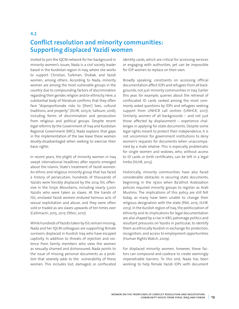## **Conflict resolution and minority communities: Supporting displaced Yazidi women**

Invited to join the IQCM network for her background in minority women's issues, Nada is a civil society leader based in the Kurdistan region in Iraq, where she works to support Christian, Turkman, Shobak, and Yazidi women, among others. According to Nada, minority women are among the most vulnerable groups in the country due to compounding factors of discrimination regarding their gender, religion and/or ethnicity. Here, a substantial body of literature confirms that they often face "disproportionate risks to [their] lives, cultural traditions, and property" (IILHR, 2013:6; Salloum, 2016), including forms of discrimination and persecution from religious and political groups. Despite recent legal reforms by the Government of Iraq and Kurdistan Regional Government (KRG), Nada explains that gaps in the implementation of the law leave these women doubly-disadvantaged when seeking to exercise their basic rights.

**4.2**

In recent years, the plight of minority women in Iraq swept international headlines after reports emerged about the Islamic State's treatment of Yazidi women. An ethnic and religious minority group that has faced a history of persecution, hundreds of thousands of Yazidis were forcibly displaced by the 2014 ISIL offensive in the Sinjar Mountains, including nearly 5,000 Yazidis who were taken as slaves. At the hands of ISIL, enslaved Yazidi women endured heinous acts of sexual exploitation and abuse, and they were often sold or traded as sex slaves upwards of ten times over (Callimachi, 2015, 2017; Otten, 2017).

While hundreds of Yazidis taken by ISIL remain missing, Nada and her IQCM colleagues are supporting female survivors displaced in Kurdish Iraq who have escaped captivity. In addition to threats of rejection and violence from family members who view the women as sexually shamed and dishonoured, Nada points to the issue of missing personal documents as a problem that severely adds to the vulnerability of these women. This includes lost, damaged, or confiscated

identity cards, which are critical for accessing services or engaging with authorities, yet can be impossible for IDP women to replace on their own.

Broadly speaking, constraints on accessing official documentation affect IDPs and refugees from all backgrounds, not just minority communities in Iraq. Earlier this year, for example, queries about the retrieval of confiscated ID cards ranked among the most commonly asked questions by IDPs and refugees seeking support from UNHCR call centres (UNHCR, 2017). Similarly, women of all backgrounds – and not just those affected by displacement – experience challenges in applying for state documents. Despite some legal rights meant to protect their independence, it is not uncommon for government institutions to deny women's requests for documents when unaccompanied by a male relative. This is especially problematic for single women and widows, who, without access to ID cards or birth certificates, can be left in a legal limbo (IILHR, 2013).

Historically, minority communities have also faced considerable obstacles in securing state documents, beginning in the 1970s when Ba'athist Arabization policies required minority groups to register as Arab Muslims. The implications of this policy are still felt today, as many have been unable to change their religious designation with the state (PAX, 2015; IILHR. 2013). In the Kurdish region of Iraq, the politicization of ethnicity and its implications for legal documentation are also shaped by a rise in KRG patronage politics and resultant pressures on Yazidis in particular, to identify them as ethnically Kurdish in exchange for protection, recognition, and access to employment opportunities (Human Rights Watch, 2009).

For displaced minority women, however, these factors can compound and coalesce to create seemingly impenetrable barriers. To this end, Nada has been working to help female Yazidi IDPs with document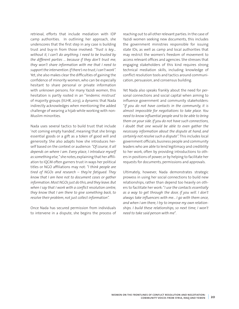retrieval, efforts that include mediation with IDP camp authorities. In outlining her approach, she underscores that the first step in any case is building trust and buy-in from those involved: *"Trust is key… without it, I can't do anything. I need to be trusted by the different parties ... because if they don't trust me, they won't share information with me that I need to support the intervention.Ifthere's no trust,I can't work".* Yet, she also makes clear the difficulties of gaining the confidence of minority women, who can be especially hesitant to share personal or private information with unknown persons. For many Yazidi women, this hesitation is partly rooted in an "'endemic mistrust' of majority groups (IILHR, 2013), a dynamic that Nada indirectly acknowledges when mentioning the added challenge of wearing a hijab while working with non-Muslim minorities.

Nada uses several tactics to build trust that include 'not coming empty handed', meaning that she brings essential goods or a gift as a token of good will and generosity. She also adapts how she introduces herself based on the context or audience: *"Of course, it all depends on where I am. Every place, I introduce myself assomething else,"* she notes, explaining that her affiliation to IQCM often garners trust in ways her political titles or NGO affiliations may not: *"I think people are tired of NGOs and research – they're fatigued. They know that I am here not to document cases or gather information.Most NGOsjust do this,and they leave.But when I say that I work with a conflict resolution centre, they know that I am there to give something back, to resolve their problem, not just collect information".*

Once Nada has secured permission from individuals to intervene in a dispute, she begins the process of

reaching out to all other relevant parties. In the case of Yazidi women seeking new documents, this includes the government ministries responsible for issuing state IDs, as well as camp and local authorities that may restrict the women's freedom of movement to access relevant offices and agencies. She stresses that engaging stakeholders of this kind requires strong technical mediation skills, including knowledge of conflict resolution tools and tactics around communication, persuasion, and consensus building.

Yet Nada also speaks frankly about the need for personal connections and social capital when aiming to influence government and community stakeholders: "*If you do not have contacts in the community, it is almost impossible for negotiations to take place. You need to know influential people and to be able to bring them on your side. If you do not have such connections, I doubt that one would be able to even gather the necessary information about the dispute at hand, and certainly not resolve such a dispute".* This includes local government officials, business people and community leaders who are able to lend legitimacy and credibility to her work, often by providing introductions to others in positions of power, or by helping to facilitate her requests for documents, permissions and approvals.

Ultimately, however, Nada demonstrates strategic prowess in using her social connections to build new relationships, rather than depend too heavily on others to facilitate her work: "*I use the contacts essentially as a way to get through the door, if you will. I don't always take influencers with me... I go with them once, and when I am there, I try to improve my own relationships. I build these relationships, so next time, I won't need to take said person with me*".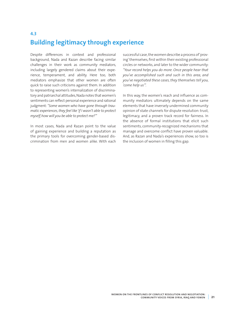## **4.3 Building legitimacy through experience**

Despite differences in context and professional background, Nada and Razan describe facing similar challenges in their work as community mediators, including largely gendered claims about their experience, temperament, and ability. Here too, both mediators emphasize that other women are often quick to raise such criticisms against them. In addition to representing women's internalization of discriminatory and patriarchal attitudes, Nada notes that women's sentiments can reflect personal experience and rational judgment: *"Some women who have gone through traumatic experiences,they feel like 'if I wasn't able to protect myself,how will you be able to protect me?'"*

In most cases, Nada and Razan point to the value of gaining experience and building a reputation as the primary tools for overcoming gender-based discrimination from men and women alike. With each successful case, the women describe a process of 'proving' themselves, first within their existing professional circles or networks, and later to the wider community: *"Your record helps you do more. Once people hear that you've accomplished such and such in this area, and you've negotiated these cases,they themselves tell you, 'come help us'".*

In this way, the women's reach and influence as community mediators ultimately depends on the same elements that have inversely undermined community opinion of state channels for dispute resolution: trust, legitimacy, and a proven track record for fairness. In the absence of formal institutions that elicit such sentiments, community-recognized mechanisms that manage and overcome conflict have proven valuable. And, as Razan and Nada's experiences show, so too is the inclusion of women in filling this gap.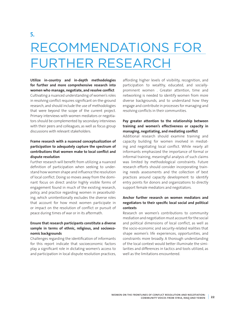## **5.** RECOMMENDATIONS FOR FURTHER RESEARCH

**Utilize in-country and in-depth methodologies for further and more comprehensive research into women who manage, negotiate, and resolve conflict**  Cultivating a nuanced understanding of women's roles in resolving conflict requires significant on-the-ground research, and should include the use of methodologies that were beyond the scope of the current project. Primary interviews with women mediators or negotiators should be complemented by secondary interviews with their peers and colleagues, as well as focus group discussions with relevant stakeholders.

#### **Frame research with a nuanced conceptualization of participation to adequately capture the spectrum of contributions that women make to local conflict and dispute resolution**

Further research will benefit from utilizing a nuanced definition of participation when seeking to understand how women shape and influence the resolution of local conflict. Doing so moves away from the dominant focus on direct and/or highly visible forms of engagement found in much of the existing research, policy, and practice regarding women in peacebuilding, which unintentionally excludes the diverse roles that account for how most women participate in or impact on the resolution of conflict or pursuit of peace during times of war or in its aftermath.

#### **Ensure that research participants constitute a diverse sample in terms of ethnic, religious, and socioeconomic backgrounds**

Challenges regarding the identification of informants for this report indicate that socioeconomic factors play a significant role in dictating women's access to and participation in local dispute resolution practices, affording higher levels of visibility, recognition, and participation to wealthy, educated, and sociallyprominent women . Greater attention, time and networking is needed to identify women from more diverse backgrounds, and to understand how they engage and contribute in processes for managing and resolving conflicts in their communities.

#### **Pay greater attention to the relationship between training and women's effectiveness or capacity in managing, negotiating, and mediating conflict**

Additional research should examine training and capacity building for women involved in mediating and negotiating local conflict. While nearly all informants emphasized the importance of formal or informal training, meaningful analysis of such claims was limited by methodological constraints. Future research efforts should consider incorporating training needs assessments and the collection of best practices around capacity development to identify entry points for donors and organizations to directly support female mediators and negotiators.

#### **Anchor further research on women mediators and negotiators to their specific local social and political contexts**

Research on women's contributions to community mediation and negotiation must account for the social and political dimensions of local conflict, as well as the socio-economic and security-related realities that shape women's life experiences, opportunities, and constraints more broadly. A thorough understanding of the local context would better illuminate the similarities and differences in tactics and tools utilized, as well as the limitations encountered.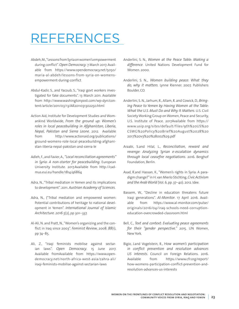# REFERENCES

- Abdeh, M., "Lessons from Syria on women's empowerment during conflict". *Open Democracy*. 7 March 2017. Available from [https://www.opendemocracy.net/5050/](https://www.opendemocracy.net/5050/maria-al-abdeh/lessons-from-syria-on-womens-empowerment-during-conflict) [maria-al-abdeh/lessons-from-syria-on-womens](https://www.opendemocracy.net/5050/maria-al-abdeh/lessons-from-syria-on-womens-empowerment-during-conflict)[empowerment-during-conflict](https://www.opendemocracy.net/5050/maria-al-abdeh/lessons-from-syria-on-womens-empowerment-during-conflict)
- Abdul-Kadir, S., and Yacoub, S., "Iraqi govt workers investigated for fake documents". 13 March 2011. Available from [http://www.washingtonpost.com/wp-dyn/con](http://www.washingtonpost.com/wp-dyn/content/article/2011/03/13/AR2011031302250.html)[tent/article/2011/03/13/AR2011031302250.html](http://www.washingtonpost.com/wp-dyn/content/article/2011/03/13/AR2011031302250.html)
- Action Aid, Institute for Development Studies and Womankind Worldwide, *From the ground up: Women's roles in local peacebuilding in Afghanistan, Liberia, Nepal, Pakistan and Sierra Leone*. 2012. Available from [http://www.actionaid.org/publications/](http://www.actionaid.org/publications/ground-womens-role-local-peacebuilding-afghanistan-liberia-nepal-pakistan-and-sierra-le) [ground-womens-role-local-peacebuilding-afghani](http://www.actionaid.org/publications/ground-womens-role-local-peacebuilding-afghanistan-liberia-nepal-pakistan-and-sierra-le)[stan-liberia-nepal-pakistan-and-sierra-le](http://www.actionaid.org/publications/ground-womens-role-local-peacebuilding-afghanistan-liberia-nepal-pakistan-and-sierra-le)
- Adleh, F., and Favier, A., *"Local reconciliation agreements" in Syria: A non-starter for peacebuilding*. European University Institute. 2017.Available from [http://cad](http://cadmus.eui.eu/handle/1814/46864)[mus.eui.eu/handle/1814/46864](http://cadmus.eui.eu/handle/1814/46864)
- Adra, N., "Tribal mediation in Yemen and its implications to development". 2011. *Austrian Academy of Sciences.*
- Adra, N., ("Tribal mediation and empowered women: Potential contributions of heritage to national development in Yemen". *International Journal of Islamic Architecture. 2016 5*(2), pp 301–337.
- Al-Ali, N. and Pratt, N., "Women's organizing and the conflict in Iraq since 2003". *Feminist Review*, 2008. *88*(1), pp 74–85.
- Ali, Z., "Iraqi feminists mobilise against sectarian laws". *Open Democracy*. 15 June 2017. Available fromAvailable from [https://www.open](https://www.opendemocracy.net/north-africa-west-asia/zahra-ali/iraqi-feminists-mobilise-against-sectarian-laws)[democracy.net/north-africa-west-asia/zahra-ali/](https://www.opendemocracy.net/north-africa-west-asia/zahra-ali/iraqi-feminists-mobilise-against-sectarian-laws) [iraqi-feminists-mobilise-against-sectarian-laws](https://www.opendemocracy.net/north-africa-west-asia/zahra-ali/iraqi-feminists-mobilise-against-sectarian-laws)
- Anderlini, S. N., *Women at the Peace Table: Making a difference*. United Nations Development Fund for Women. 2000.
- Anderlini, S. N.,. *Women building peace: What they do, why it matters*. Lynne Rienner. 2007. Publishers Boulder, CO.
- Anderlini, S. N., Jarhum, R., Allam, R. and Cowick, D., *Bringing Peace to Yemen by Having Women at the Table: What the U.S. Must Do and Why It Matters*. U.S. Civil Society Working Group on Women, Peace and Security, U.S. Institute of Peace. 2017Available from [https://](https://www.usip.org/sites/default/files/9th%20US%20CSWG%20Policy%20Brief%20August%2028%202017%20v3%20%28002%29.pdf) [www.usip.org/sites/default/files/9th%20US%20](https://www.usip.org/sites/default/files/9th%20US%20CSWG%20Policy%20Brief%20August%2028%202017%20v3%20%28002%29.pdf) [CSWG%20Policy%20Brief%20August%2028%20](https://www.usip.org/sites/default/files/9th%20US%20CSWG%20Policy%20Brief%20August%2028%202017%20v3%20%28002%29.pdf) [2017%20v3%20%28002%29.pdf](https://www.usip.org/sites/default/files/9th%20US%20CSWG%20Policy%20Brief%20August%2028%202017%20v3%20%28002%29.pdf)
- Araabi, S.and Hilal, L., *Reconciliation, reward and revenge: Analyzing Syrian e-escalation dynamics through local ceasefire negotiations*. 2016. Berghof Foundation, Berlin.
- Asad, R.and Hassan, K., "Women's rights in Syria: A paradigm change?" in H. van Mierlo Stichting, *Civic Activism and the ArabWorld* (Vol. 6, pp. 37–40). 2012. Idee.
- Bassem, W., "Decline in education threatens future Iraqi generations". *Al-Monitor*. 17 April 2016. Available from [https://www.al-monitor.com/pulse/](https://www.al-monitor.com/pulse/originals/2016/04/iraq-schools-need-corruption-education-overcrowded-classroom.html) [originals/2016/04/iraq-schools-need-corruption](https://www.al-monitor.com/pulse/originals/2016/04/iraq-schools-need-corruption-education-overcrowded-classroom.html)[education-overcrowded-classroom.html](https://www.al-monitor.com/pulse/originals/2016/04/iraq-schools-need-corruption-education-overcrowded-classroom.html)
- Bell, C., *Text and context: Evaluating peace agreements for their "gender perspective."* 2015. UN Women, New York.
- Bigio, J.and Vogelstein, R., *How women's participation in conflict prevention and resolution advances US interests*. Council on Foreign Relations. 2016. Available from [https://www.cfr.org/report/](https://www.cfr.org/report/how-womens-participation-conflict-prevention-and-resolution-advances-us-interests) [how-womens-participation-conflict-prevention-and](https://www.cfr.org/report/how-womens-participation-conflict-prevention-and-resolution-advances-us-interests)[resolution-advances-us-interests](https://www.cfr.org/report/how-womens-participation-conflict-prevention-and-resolution-advances-us-interests)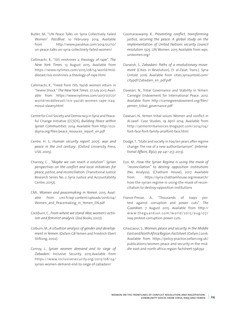- Butler, M., "UN Peace Talks on Syria Collectively Failed Women". *PassBlue*. 10 Februrary 2014. Available from [http://www.passblue.com/2014/02/10/](http://www.passblue.com/2014/02/10/un-peace-talks-on-syria-collectively-failed-women/) [un-peace-talks-on-syria-collectively-failed-women/](http://www.passblue.com/2014/02/10/un-peace-talks-on-syria-collectively-failed-women/)
- Callimachi, R., "ISIS enshrines a theology of rape". *The New York Times*. 13 August 2015. Available from [https://www.nytimes.com/2015/08/14/world/mid](https://www.nytimes.com/2015/08/14/world/middleeast/isis-enshrines-a-theology-of-rape.html)[dleeast/isis-enshrines-a-theology-of-rape.html](https://www.nytimes.com/2015/08/14/world/middleeast/isis-enshrines-a-theology-of-rape.html)
- Callimachi, R., "Freed from ISIS, Yazidi women return in "Severe Shock." *The New York Times*. 27 July 2017. Available from [https://www.nytimes.com/2017/07/27/](https://www.nytimes.com/2017/07/27/world/middleeast/isis-yazidi-women-rape-iraq-mosul-slavery.html) [world/middleeast/isis-yazidi-women-rape-iraq](https://www.nytimes.com/2017/07/27/world/middleeast/isis-yazidi-women-rape-iraq-mosul-slavery.html)[mosul-slavery.html](https://www.nytimes.com/2017/07/27/world/middleeast/isis-yazidi-women-rape-iraq-mosul-slavery.html)
- Centre for Civil Society and Democracy in Syria and Peaceful Change Initiative (CCSDS), *Building Peace within Syrian Communities*. 2014. Available from [http://ccs](http://ccsdsyria.org/files/peace_resouces_report_en.pdf)[dsyria.org/files/peace\\_resouces\\_report\\_en.pdf](http://ccsdsyria.org/files/peace_resouces_report_en.pdf)
- Centre, H. S., *Human security report 2005: war and peace in the 21st century*.. (Oxford University Press, USA, 2005).
- Charney, C. , *"Maybe we can reach a solution": Syrian perspectives on the conflict and local initiatives for peace, justice, and reconciliation.* (Transitional Justice Research Series No. 2. Syria Justice and Accountability Centre, 2015)(.
- CMI., *Women and peacemaking in Yemen*. 2015. Available from cmi.fi/wp-content/uploads/2016/04/ Women and Peacemaking in Yemen EN.pdf
- Cockburn, C., *From where we stand:War,women's activism and feminist analysis*. (Zed Books, 2007).
- Colburn, M., *A situation analysis of gender and development in Yemen*. (Oxfam GB Yemen and Friedrich Ebert Stiftung, 2002).
- Conroy, L., *Syrian women demand end to siege of Zabadani*. Inclusive Security. 2015.Available from [https://www.inclusivesecurity.org/2015/08/24/](https://www.inclusivesecurity.org/2015/08/24/syrian-women-demand-end-to-siege-of-zabadani/) [syrian-women-demand-end-to-siege-of-zabadani/](https://www.inclusivesecurity.org/2015/08/24/syrian-women-demand-end-to-siege-of-zabadani/)
- Coomaraswamy, R., *Preventing conflict, transforming justice, securing the peace: A global study on the implementation of United Nations security council resolution 1325*. UN Women. 2015 Available from wps. unwomen.org/
- Darwish, S., *Zabadani: Paths of a revolutionary movement* (Cities in Revolution). (Y. al-Zaiat, Trans.). Syria Untold. 2016. Available from cities.syriauntold.com/ citypdf/Zabadani\_en\_pdf.pdf
- Dawsari, N., Tribal Governance and Stability in Yemen. Carnegie Endowment for International Peace. 2012. Available from http://carnegieendowment.org/files/ yemen\_tribal\_governance.pdf
- Dawsari, N., Yemen tribal voices: Women and conflict in Al-Jawf- Case Studies. 19 April 2014. Available from [http://yementribalvoices.blogspot.com/2014/04/](http://yementribalvoices.blogspot.com/2014/04/font-face-font-family-arialfont-face.html) [font-face-font-family-arialfont-face.html](http://yementribalvoices.blogspot.com/2014/04/font-face-font-family-arialfont-face.html)
- Dodge, T., "State and society in Iraq ten years after regime change: The rise of a new authoritarianism". (*International Affairs*, *89*(2), pp 241–257, 2013).
- Ezzi, M., *How the Syrian Regime is using the mask of "reconciliation" to destroy opposition institutions* (No. Analysis). (Chatham House). 2017. Available from [https://syria.chathamhouse.org/research/](https://syria.chathamhouse.org/research/how-the-syrian-regime-is-using-the-mask-of-reconciliation-to-destroy-opposition-institutions) [how-the-syrian-regime-is-using-the-mask-of-recon](https://syria.chathamhouse.org/research/how-the-syrian-regime-is-using-the-mask-of-reconciliation-to-destroy-opposition-institutions)[ciliation-to-destroy-opposition-institutions](https://syria.chathamhouse.org/research/how-the-syrian-regime-is-using-the-mask-of-reconciliation-to-destroy-opposition-institutions)
- France-Presse, A., "Thousands of Iraqis protest against corruption and power cuts". *The Guardian*. 7 August 2015. Available from [http://](http://www.theguardian.com/world/2015/aug/07/iraq-protest-corruption-power-cuts) [www.theguardian.com/world/2015/aug/07/](http://www.theguardian.com/world/2015/aug/07/iraq-protest-corruption-power-cuts) [iraq-protest-corruption-power-cuts](http://www.theguardian.com/world/2015/aug/07/iraq-protest-corruption-power-cuts)
- Ghazzaoui, S., *Women, peace and security in the Middle EastandNorthAfricaRegion:Factsheet*. (Oxfam.) 2016. Available from [https://policy-practice.oxfam.org.uk/](https://policy-practice.oxfam.org.uk/publications/women-peace-and-security-in-the-middle-east-and-north-africa-region-factsheet-596392) [publications/women-peace-and-security-in-the-mid](https://policy-practice.oxfam.org.uk/publications/women-peace-and-security-in-the-middle-east-and-north-africa-region-factsheet-596392)[dle-east-and-north-africa-region-factsheet-596392](https://policy-practice.oxfam.org.uk/publications/women-peace-and-security-in-the-middle-east-and-north-africa-region-factsheet-596392)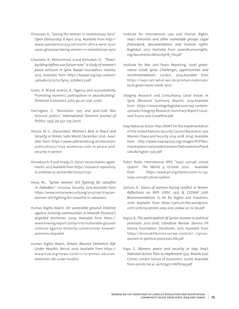- Ghazzawi, R., "Seeing the women in revolutionary Syria". *Open Democracy*. 8 April 2014. Available from [http://](http://www.opendemocracy.net/north-africa-west-asia/razan-ghazzawi/seeing-women-in-revolutionary-syria) [www.opendemocracy.net/north-africa-west-asia/](http://www.opendemocracy.net/north-africa-west-asia/razan-ghazzawi/seeing-women-in-revolutionary-syria) [razan-ghazzawi/seeing-women-in-revolutionary-syria](http://www.opendemocracy.net/north-africa-west-asia/razan-ghazzawi/seeing-women-in-revolutionary-syria)
- Ghazzawi, R., Mohammad, A.and Ramadan, O., *"Peacebuilding defines our future now":a study of women's peace activism in Syria*. Badael Foundation, Istanbu, 2015. Available from [https://badael.org/wp-content/](https://badael.org/wp-content/uploads/2015/10/Syria_october22.pdf) [uploads/2015/10/Syria\\_october22.pdf](https://badael.org/wp-content/uploads/2015/10/Syria_october22.pdf)
- Goetz, A. M.and Jenkins, R., "Agency and accountability: Promoting women's participation in peacebuilding". (*Feminist Economics*, *22*(1), pp 211–236, 2016).
- Harrington, C., "Resolution 1325 and post-Cold War feminist politics". *International Feminist Journal of Politics*, *13*(4), pp 557–575 (2011).
- Heinze, M.-C., (December). *Women's Role in Peace and Security in Yemen*. Safer World. December 2016. Available from [https://www.saferworld.org.uk/resources/](https://www.saferworld.org.uk/resources/publications/1095-womenas-role-in-peace-and-security-in-yemen) [publications/1095-womenas-role-in-peace-and](https://www.saferworld.org.uk/resources/publications/1095-womenas-role-in-peace-and-security-in-yemen)[security-in-yemen](https://www.saferworld.org.uk/resources/publications/1095-womenas-role-in-peace-and-security-in-yemen)
- Hinnebusch, R.and Imady, O., Syria's reconciliation agreements. 2017 Avalable from [https://research-repository.](https://research-repository.st-andrews.ac.uk/handle/10023/11737) [st-andrews.ac.uk/handle/10023/11737](https://research-repository.st-andrews.ac.uk/handle/10023/11737)
- Hood, M.,. *"Syrian women still fighting for ceasefire in Zabadani."* Inclusive Security. 2015.Available from [https://www.inclusivesecurity.org/2015/09/17/syrian](https://www.inclusivesecurity.org/2015/09/17/syrian-women-still-fighting-for-ceasefire-in-zabadani/)[women-still-fighting-for-ceasefire-in-zabadani/](https://www.inclusivesecurity.org/2015/09/17/syrian-women-still-fighting-for-ceasefire-in-zabadani/)
- Human Rights Watch, *On vulnerable ground: Violence against minority communities in Nineveh Province's disputed territories*. 2009. Available from [https://](https://www.hrw.org/report/2009/11/10/vulnerable-ground/violence-against-minority-communities-nineveh-provinces-disputed) [www.hrw.org/report/2009/11/10/vulnerable-ground/](https://www.hrw.org/report/2009/11/10/vulnerable-ground/violence-against-minority-communities-nineveh-provinces-disputed) [violence-against-minority-communities-nineveh](https://www.hrw.org/report/2009/11/10/vulnerable-ground/violence-against-minority-communities-nineveh-provinces-disputed)[provinces-disputed](https://www.hrw.org/report/2009/11/10/vulnerable-ground/violence-against-minority-communities-nineveh-provinces-disputed)
- Human Rights Watch, *Yemen: Abusive Detention Rife Under Houthis*. Beirut, 2016. Available from [https://](https://www.hrw.org/news/2016/11/17/yemen-abusive-detention-rife-under-houthis) [www.hrw.org/news/2016/11/17/yemen-abusive](https://www.hrw.org/news/2016/11/17/yemen-abusive-detention-rife-under-houthis)[detention-rife-under-houthis](https://www.hrw.org/news/2016/11/17/yemen-abusive-detention-rife-under-houthis)
- Institute for International Law and Human Rights, *Iraq's minoriies and other vulnerable groups: Legal framework, documentation and human rights*. Baghdad. 2013. Available from awandhumanrights. org/documents/MinorityHB\_EN.pdf
- Institute for War and Peace Reporting, *Local governance inside Syria: Challenges, opportunities and recommendations*. London. 2014.Available from [https://iwpr.net/what-we-do/printed-materials/](https://iwpr.net/what-we-do/printed-materials/local-governance-inside-syria) [local-governance-inside-syria](https://iwpr.net/what-we-do/printed-materials/local-governance-inside-syria)
- Integrity Research and Consultancy, *Local truces in Syria* (Research Summary Report). 2014.Available from https://www.integrityglobal.com/wp-content/ uploads/Integrity-Research-Summary-Report-Localised-Truces-and-Ceasefires.pdf
- Iraqi National Action Plan (INAP) for the Implementation of the United Nations Security Council Resolution 1325 Women, Peace and Security 2014-2018. 2014). Available from [http://www.iraqnap1325.org/images/PDFfiles/](http://www.iraqnap1325.org/images/PDFfiles/masterplans/nationalActionplan/NatinalActionPlanArabic&English-1325.pdf) [masterplans/nationalActionplan/NatinalActionPlanA](http://www.iraqnap1325.org/images/PDFfiles/masterplans/nationalActionplan/NatinalActionPlanArabic&English-1325.pdf) [rabic&English-1325.pdf](http://www.iraqnap1325.org/images/PDFfiles/masterplans/nationalActionplan/NatinalActionPlanArabic&English-1325.pdf)
- Public Radio International (PRI), "Iraq's corrupt school system". *The World*. 4 October 2010. . Available from [https://www.pri.org/stories/2010-10-04/](https://www.pri.org/stories/2010-10-04/iraqs-corrupt-school-system) [iraqs-corrupt-school-system](https://www.pri.org/stories/2010-10-04/iraqs-corrupt-school-system)
- Jarhum, R., *Status of women during conflict in Yemen: Reflections on WPS UNSC 1325 & CEDAW 20th Recommendation*. To Be for Rights and Freedoms. 2016. Available from [https://jarhum.files.wordpress.](https://jarhum.files.wordpress.com/2016/03/yemen-wsp-and-cedaw-30-to-be.pdf) [com/2016/03/yemen-wsp-and-cedaw-30-to-be.pdf](https://jarhum.files.wordpress.com/2016/03/yemen-wsp-and-cedaw-30-to-be.pdf)
- Kapur, B., *The participation of Syrian women in political processes 2012-2016, Literature Review*. (Kvinna till Kvinna Foundation, Stockholm, 2017. Available from [https://kvinnatillkvinna.se/wp-content/.../syrian](https://kvinnatillkvinna.se/wp-content/.../syrian-women-in-political-processes-ktk.pdf)[women-in-political-processes-ktk.pdf](https://kvinnatillkvinna.se/wp-content/.../syrian-women-in-political-processes-ktk.pdf)
- Kaya, Z., *Women, peace and security in Iraq: Iraq's National Action Plan to Implement 1325*. Middle East Centre, London School of Economics. (2016). Available from eprints.lse.ac.uk/67347/1/WPSIraq.pdf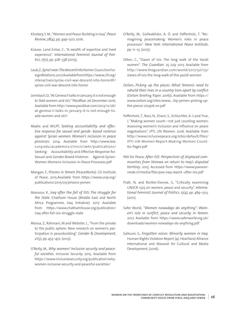Khodary, Y. M., "Women and Peace-Building in Iraq". *Peace Review*, *28*(4), pp. 499–507. 2016.

- Krause, J.and Enloe, C., "A wealth of expertise and lived experience". *International Feminist Journal of Politics*, *17*(2), pp. 328–338 (2015).
- Laub, Z., *Syria'swar:Thedescentintohorror*. Council on Foreign Relations. 2017.Available from https://www.cfr.org/ interactives/syrias-civil-war-descent-into-horror#!/ syrias-civil-war-descent-into-horror
- Leimbach, D., "At Geneva II talks in January, it is not enough to 'Add women and stir," *PassBlue*. 26 December 2016. Available from [http://www.passblue.com/2013/12/26/](http://www.passblue.com/2013/12/26/at-geneva-ii-talks-in-january-it-is-not-enough-to-add-women-and-stir/) [at-geneva-ii-talks-in-january-it-is-not-enough-to](http://www.passblue.com/2013/12/26/at-geneva-ii-talks-in-january-it-is-not-enough-to-add-women-and-stir/)[add-women-and-stir/](http://www.passblue.com/2013/12/26/at-geneva-ii-talks-in-january-it-is-not-enough-to-add-women-and-stir/)
- Madre and WILPF, *Seeking accountability and effective response for sexual and gende- based violence against Syrian women: Women's inclusion in peace processes*. 2014. Available from http://www.law. cuny.edu/academics/clinics/iwhr/publications/ Seeking- Accountability-and-Effective-Response-for-Sexual-and-Gender-Based-Violence- Against-Syrian-Women-Womens-Inclusion-in-Peace-Processes.pdf
- Mangan, F., *Prisons in Yemen* (PeaceWorks). US Institute of Peace. 2015.Available from [https://www.usip.org/](https://www.usip.org/publications/2015/03/prisons-yemen) [publications/2015/03/prisons-yemen](https://www.usip.org/publications/2015/03/prisons-yemen)
- Mansour, R., *Iraq after the fall of ISIS: The struggle for the State.* Chatham House (Middle East and North Africa Programme, Iraq Initiative). 2017. Available from [https://www.chathamhouse.org/publication/](https://www.chathamhouse.org/publication/iraq-after-fall-isis-struggle-state) [iraq-after-fall-isis-struggle-state](https://www.chathamhouse.org/publication/iraq-after-fall-isis-struggle-state)
- Moosa, Z., Rahmani, M.and Webster, L., "From the private to the public sphere: New research on women's participation in peacebuilding". *Gender & Development*, *21*(3), pp. 453–472. (2013).
- O'Reilly, M., *Why women? Inclusive security and peaceful societies*. Inclusive Security. 2015. Available from [https://www.inclusivesecurity.org/publication/why](https://www.inclusivesecurity.org/publication/why-women-inclusive-security-and-peaceful-societies/)[women-inclusive-security-and-peaceful-societies/](https://www.inclusivesecurity.org/publication/why-women-inclusive-security-and-peaceful-societies/)
- O'Reilly, M., Súilleabháin, A. Ó. and Paffenholz, T. "Reimagining peacemaking: Women's roles in peace processes". *New York: International Peace Institute*, pp. 11–13. (2015).
- Otten, C., "Slaves of Isis: The long walk of the Yazidi women". *The Guardian*. 25 July 2017. Available from [http://www.theguardian.com/world/2017/jul/25/](http://www.theguardian.com/world/2017/jul/25/slaves-of-isis-the-long-walk-of-the-yazidi-women) [slaves-of-isis-the-long-walk-of-the-yazidi-women](http://www.theguardian.com/world/2017/jul/25/slaves-of-isis-the-long-walk-of-the-yazidi-women)
- Oxfam, *Picking up the pieces: What Yemenis need to rebuild their lives in a country torn apart by conflict* (Oxfam Briefing Paper. 2016)). Available from [https://](https://www.oxfam.org/sites/www.../bp-yemen-picking-up-the-pieces-210916-en.pdf) [www.oxfam.org/sites/www.../bp-yemen-picking-up](https://www.oxfam.org/sites/www.../bp-yemen-picking-up-the-pieces-210916-en.pdf)[the-pieces-210916-en.pdf](https://www.oxfam.org/sites/www.../bp-yemen-picking-up-the-pieces-210916-en.pdf)
- Paffenholz, T., Ross, N., Dixon, S., Schluchter, A.-L.and True, J. "Making women count—not just counting women: Assessing women's inclusion and influence on peace negotiations". IPTI, UN Women. 2016. Available from [http://www.inclusivepeace.org/sites/default/files/](http://www.inclusivepeace.org/sites/default/files/IPTI-UN-Women-Report-Making-Women-Count-60-Pages.pdf) [IPTI-UN-Women-Report-Making-Women-Count-](http://www.inclusivepeace.org/sites/default/files/IPTI-UN-Women-Report-Making-Women-Count-60-Pages.pdf)[60-Pages.pdf](http://www.inclusivepeace.org/sites/default/files/IPTI-UN-Women-Report-Making-Women-Count-60-Pages.pdf)
- PAX for Peace, *After ISIS: Perspectives of displaced communities from Ninewa on return to Iraq's disputed territory*. 2015. Accessed from [https://www.paxvoor](https://www.paxvoorvrede.nl/media/files/pax-iraq-report--after-isis.pdf)[vrede.nl/media/files/pax-iraq-report--after-isis.pdf](https://www.paxvoorvrede.nl/media/files/pax-iraq-report--after-isis.pdf)
- Pratt, N. and Richter-Devroe, S., "Critically examining UNSCR 1325 on women, peace and security". *International Feminist Journal of Politics*, *13*(4), pp. 489–503. (2011).
- Safer World, *"Women nowadays do anything": Women's role in conflict, peace and security in Yemen*. 2017. Available from [https://www.saferworld.org.uk/](https://www.saferworld.org.uk/downloads/women-nowadays-do-anything.pdf) [downloads/women-nowadays-do-anything.pdf](https://www.saferworld.org.uk/downloads/women-nowadays-do-anything.pdf)
- Salloum, S., *Forgotten voices: Minority women in Iraq.* Human Rights Violation Report (4). Heartland Alliance International and Masarat for Cultural and Media Development, (2016).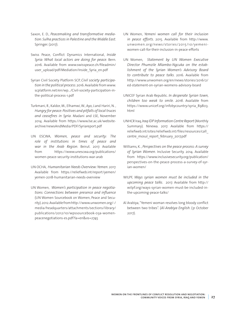- Saxon, E. D., *Peacemaking and transformative mediation: Sulha practicesin Palestine and the Middle East*. Springer. (2017).
- Swiss Peace, Conflict Dynamics International, *Inside Syria: What local actors are doing for peace*. Bern. 2016. Available from [www.swisspeace.ch/fileadmin/](http://www.swisspeace.ch/fileadmin/user_upload/pdf/Mediation/Inside_Syria_en.pdf) [user\\_upload/pdf/Mediation/Inside\\_Syria\\_en.pdf](http://www.swisspeace.ch/fileadmin/user_upload/pdf/Mediation/Inside_Syria_en.pdf)
- Syrian Civil Society Platform SCP, *Civil society participation in the political process*. 2016. Available from [www.](http://www.scplatform.net/en/wp.../Civil-society-participation-in-the-political-process-1.pdf) [scplatform.net/en/wp.../Civil-society-participation-in](http://www.scplatform.net/en/wp.../Civil-society-participation-in-the-political-process-1.pdf)[the-political-process-1.pdf](http://www.scplatform.net/en/wp.../Civil-society-participation-in-the-political-process-1.pdf)
- Turkmani, R., Kaldor, M., Elhamwi, W., Ayo, J.and Hariri, N. , *Hungry for peace:Positives and pitfalls of local truces and ceasefires in Syria*. Madani and LSE, November 2014. Available from [https://www.lse.ac.uk/website](https://www.lse.ac.uk/website-archive/newsAndMedia/PDF/Syriareport.pdf)[archive/newsAndMedia/PDF/Syriareport.pdf](https://www.lse.ac.uk/website-archive/newsAndMedia/PDF/Syriareport.pdf)
- UN ESCWA, *Women, peace and security: The role of institutions in times of peace and war in the Arab Region*. Beirut. 2017. Available from [https://www.unescwa.org/publications/](https://www.unescwa.org/publications/women-peace-security-institutions-war-arab) [women-peace-security-institutions-war-arab](https://www.unescwa.org/publications/women-peace-security-institutions-war-arab)
- UN OCHA, *Humanitarian Needs Overview:Yemen*. 2017. Available from [https://reliefweb.int/report/yemen/](https://reliefweb.int/report/yemen/yemen-2018-humanitarian-needs-overview) [yemen-2018-humanitarian-needs-overview](https://reliefweb.int/report/yemen/yemen-2018-humanitarian-needs-overview)
- UN Women, *Women's participation in peace negotiations: Connections between presence and influence* (UN Women Sourcebook on Women, Peace and Security). 2012. Available from [http://www.unwomen.org/-/](http://www.unwomen.org/-/media/headquarters/attachments/sections/library/publications/2012/10/wpssourcebook-03a-womenpeacenegotiations-es.pdf?la=en&vs=2745) [media/headquarters/attachments/sections/library/](http://www.unwomen.org/-/media/headquarters/attachments/sections/library/publications/2012/10/wpssourcebook-03a-womenpeacenegotiations-es.pdf?la=en&vs=2745) [publications/2012/10/wpssourcebook-03a-women](http://www.unwomen.org/-/media/headquarters/attachments/sections/library/publications/2012/10/wpssourcebook-03a-womenpeacenegotiations-es.pdf?la=en&vs=2745)[peacenegotiations-es.pdf?la=en&vs=2745](http://www.unwomen.org/-/media/headquarters/attachments/sections/library/publications/2012/10/wpssourcebook-03a-womenpeacenegotiations-es.pdf?la=en&vs=2745)
- UN Women, *Yemeni women call for their inclusion in peace efforts*. 2015. Available from [http://www.](http://www.unwomen.org/news/stories/2015/10/yemeni-women-call-for-their-inclusion-in-peace-efforts) [unwomen.org/news/stories/2015/10/yemeni](http://www.unwomen.org/news/stories/2015/10/yemeni-women-call-for-their-inclusion-in-peace-efforts)[women-call-for-their-inclusion-in-peace-efforts](http://www.unwomen.org/news/stories/2015/10/yemeni-women-call-for-their-inclusion-in-peace-efforts)
- UN Women, *Statement by UN Women Executive Director Phumzile Mlambo-Ngcuka on the establishment of the Syrian Women's Advisory Board to contribute to peace talks*. 2016. Available from [http://www.unwomen.org/en/news/stories/2016/2/](http://www.unwomen.org/en/news/stories/2016/2/ed-statement-on-syrian-womens-advisory-board) [ed-statement-on-syrian-womens-advisory-board](http://www.unwomen.org/en/news/stories/2016/2/ed-statement-on-syrian-womens-advisory-board)
- UNICEF Syrian Arab Republic. *In desperate Syrian town, children too weak to smile. 2016*. Available from [https://www.unicef.org/infobycountry/syria\\_89803.](https://www.unicef.org/infobycountry/syria_89803.html) [html](https://www.unicef.org/infobycountry/syria_89803.html)
- UNHCR Iraq, *Iraq IDP Information Centre Report* (Monthly Summary). Ninewa. 2017. Available from [https://](https://reliefweb.int/sites/reliefweb.int/files/resources/call_centre_mosul_report_february_2017.pdf) [reliefweb.int/sites/reliefweb.int/files/resources/call\\_](https://reliefweb.int/sites/reliefweb.int/files/resources/call_centre_mosul_report_february_2017.pdf) centre mosul report february 2017.pdf
- Williams, K. , *Perspectives on the peace process: A survey of Syrian Women*. Inclusive Security. 2014. Available from [https://www.inclusivesecurity.org/publication/](https://www.inclusivesecurity.org/publication/perspectives-on-the-peace-process-a-survey-of-syrian-women/) [perspectives-on-the-peace-process-a-survey-of-syr](https://www.inclusivesecurity.org/publication/perspectives-on-the-peace-process-a-survey-of-syrian-women/)[ian-women/](https://www.inclusivesecurity.org/publication/perspectives-on-the-peace-process-a-survey-of-syrian-women/)
- WILPF, *Ways syrian women must be included in the upcoming peace talks*. 2017. Available from [http://](http://wilpf.org/ways-syrian-women-must-be-included-in-the-upcoming-peace-talks/) [wilpf.org/ways-syrian-women-must-be-included-in](http://wilpf.org/ways-syrian-women-must-be-included-in-the-upcoming-peace-talks/)[the-upcoming-peace-talks/](http://wilpf.org/ways-syrian-women-must-be-included-in-the-upcoming-peace-talks/)
- Al Arabiya, "Yemeni woman resolves long bloody conflict between two tribes". (*Al-Arabiya English*. (31 October 2017).